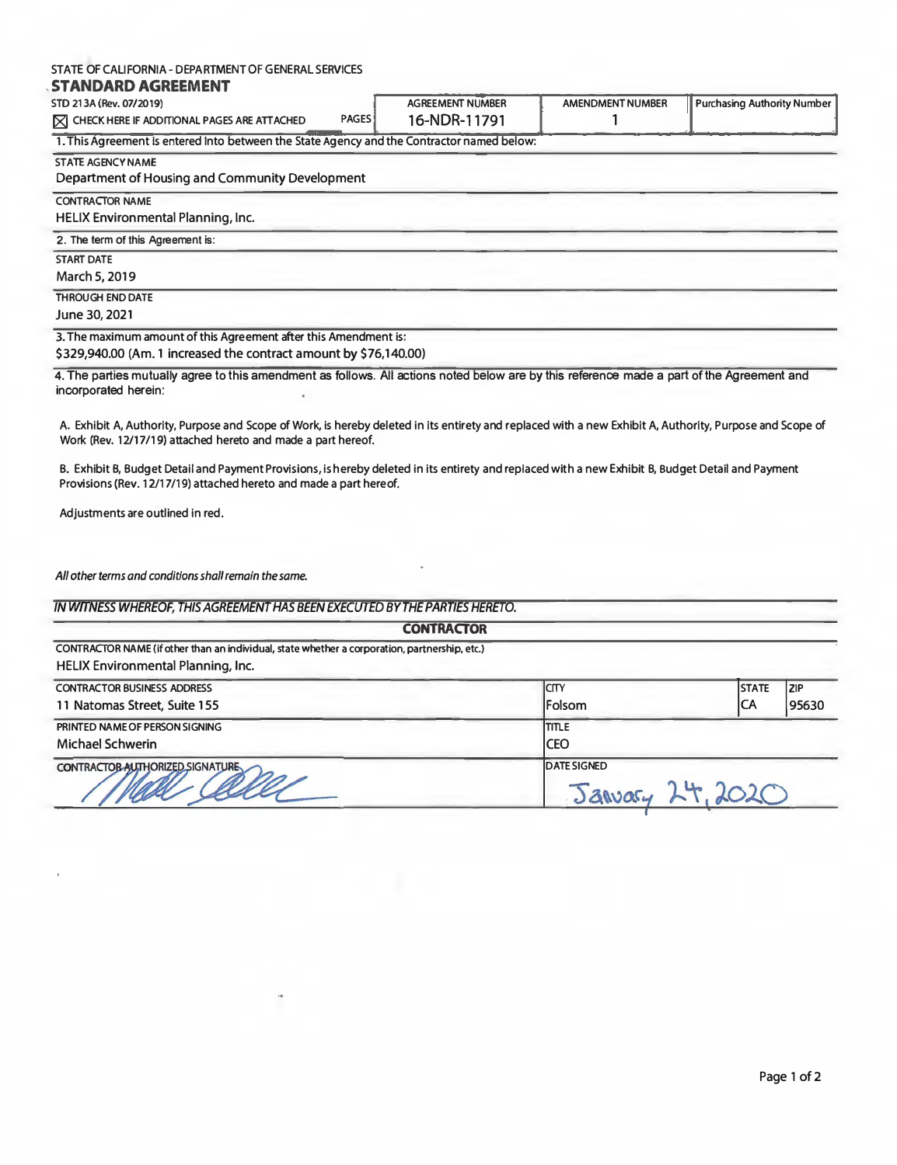#### **STATE OF CALIFORNIA - DEPARTMENT OF GENERAL SERVICES**

#### , **STANDARD AGREEMENT**

| STD 213A (Rev. 07/2019)                                                      | <b>AGREEMENT NUMBER</b> | <b>AMENDMENT NUMBER</b> | I Purchasing Authority Number I |
|------------------------------------------------------------------------------|-------------------------|-------------------------|---------------------------------|
|                                                                              |                         |                         |                                 |
| <b>PAGES</b><br>$\triangleright$ CHECK HERE IF ADDITIONAL PAGES ARE ATTACHED | 16-NDR-11791            |                         |                                 |
|                                                                              |                         |                         |                                 |
|                                                                              |                         |                         |                                 |

1. **This Agreement Is entered Into between the State Agency and the Contractor named below:**

#### **STATE AGENCY NAME**

#### Department of Housing and Community Development

**CONTRACTOR NAME** 

HELIX Environmental Planning, Inc.

**2. The term of this Agreement is:** 

**START DATE** 

March **5, 2019** 

**THROUGH END DATE** 

June **30, 2021** 

**3. The maximum amount of this Agreement after this Amendment is: \$329,940.00** (Am. **1** increased the contract amount **by \$76,140.00)**

**4. The parties mutually agree to this amendment as follows. All actions noted below are by this reference made a part of the Agreement and incorporated herein:**

**A. Exhibit A, Authority, Purpose and Scope of Work, is hereby deleted in its entirety and replaced with a new Exhibit A, Authority, Purpose and Scope of Work (Rev.** 12/17 **/19) attached hereto and made a part hereof.**

**B. Exhibit B, Budget Detail and Payment Provisions, is hereby deleted in its entirety and replaced with a new Exhibit B, Budget Detail and Payment** Provisions (Rev. 12/17/19) attached hereto and made a part hereof.

**Adjustments are outlined in red.** 

*All other terms and conditions shall remain the same.* 

*IN WITNESS WHEREOF, THIS AGREEMENT HAS BEEN EXECUTED BY THE PARTIES HERETO.* 

| <b>CONTRACTOR</b>                                                                                                                   |                    |              |       |  |
|-------------------------------------------------------------------------------------------------------------------------------------|--------------------|--------------|-------|--|
| CONTRACTOR NAME (if other than an individual, state whether a corporation, partnership, etc.)<br>HELIX Environmental Planning, Inc. |                    |              |       |  |
| <b>CONTRACTOR BUSINESS ADDRESS</b>                                                                                                  | ICITY              | <b>STATE</b> | I ZIP |  |
| 11 Natomas Street, Suite 155                                                                                                        | Folsom             | ICA          | 95630 |  |
| PRINTED NAME OF PERSON SIGNING                                                                                                      | <b>TITLE</b>       |              |       |  |
| Michael Schwerin                                                                                                                    | <b>CEO</b>         |              |       |  |
| CONTRACTOR AUTHORIZED SIGNATURE                                                                                                     | <b>DATE SIGNED</b> |              |       |  |
|                                                                                                                                     |                    |              |       |  |

I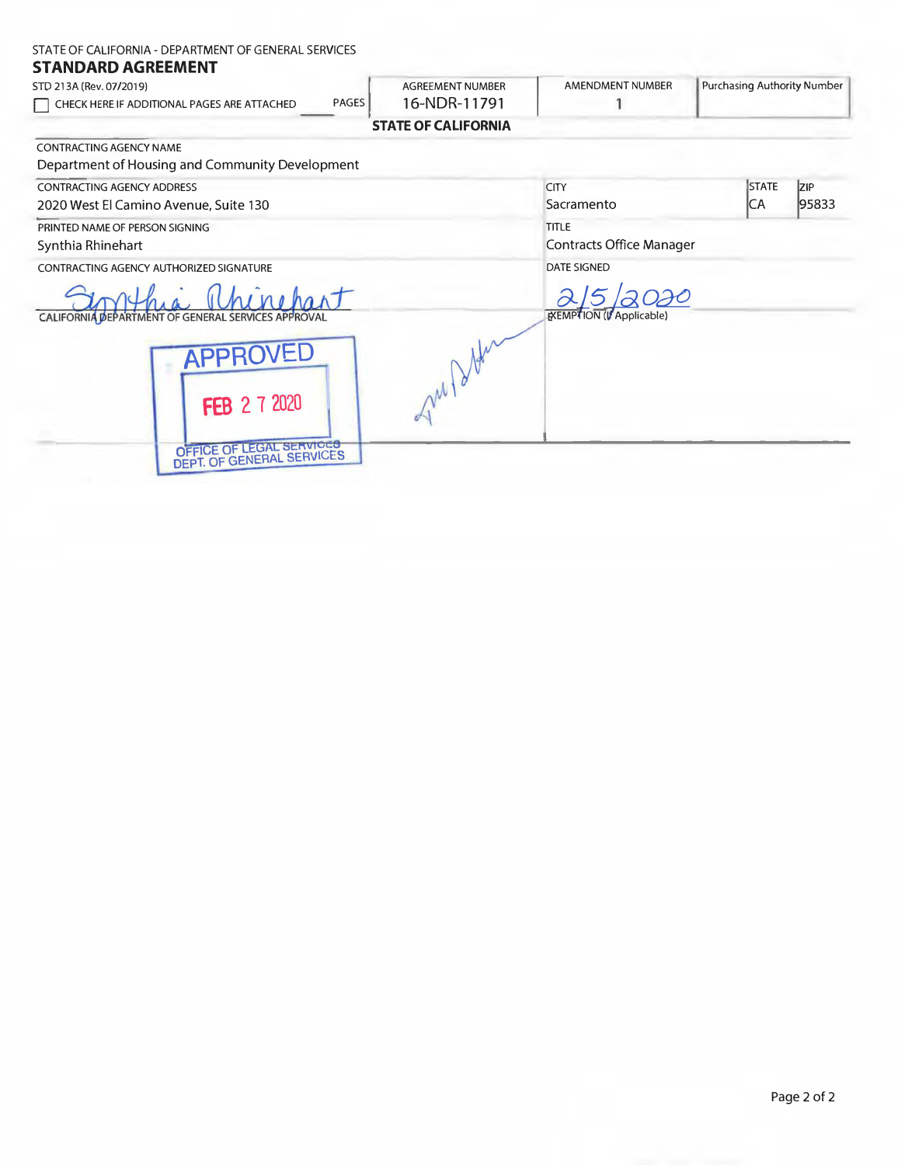#### STATE OF CALIFORNIA- DEPARTMENT OF GENERAL SERVICES

# **STANDARD AGREEMENT**

STD 213A (Rev. 07/2019) □ CHECK HERE IF ADDITIONAL PAGES ARE ATTACHED PAGES AGREEMENT NUMBER 16-NDR-11791 **STATE OF CALIFORNIA**  AMENDMENT NUMBER 1 Purchasing Authority Number ,-

CONTRACTING AGENCY NAME

| Department of Housing and Community Development                            |                                                 |                     |                     |
|----------------------------------------------------------------------------|-------------------------------------------------|---------------------|---------------------|
| <b>CONTRACTING AGENCY ADDRESS</b><br>2020 West El Camino Avenue, Suite 130 | <b>CITY</b><br>Sacramento                       | <b>STATE</b><br> CA | <b>ZIP</b><br>95833 |
| PRINTED NAME OF PERSON SIGNING<br>Synthia Rhinehart                        | <b>TITLE</b><br><b>Contracts Office Manager</b> |                     |                     |
| CONTRACTING AGENCY AUTHORIZED SIGNATURE                                    | <b>DATE SIGNED</b>                              |                     |                     |
| CALIFORNIA DEPARTMENT OF GENERAL SERVICES APPROVAL                         | EXEMPTION (V Applicable)                        |                     |                     |
| APPRO<br><b>FEB 2 7 2020</b>                                               |                                                 |                     |                     |
| OFFICE OF LEGAL SERVICES<br>DEPT. OF GENERAL SERVICES                      |                                                 |                     |                     |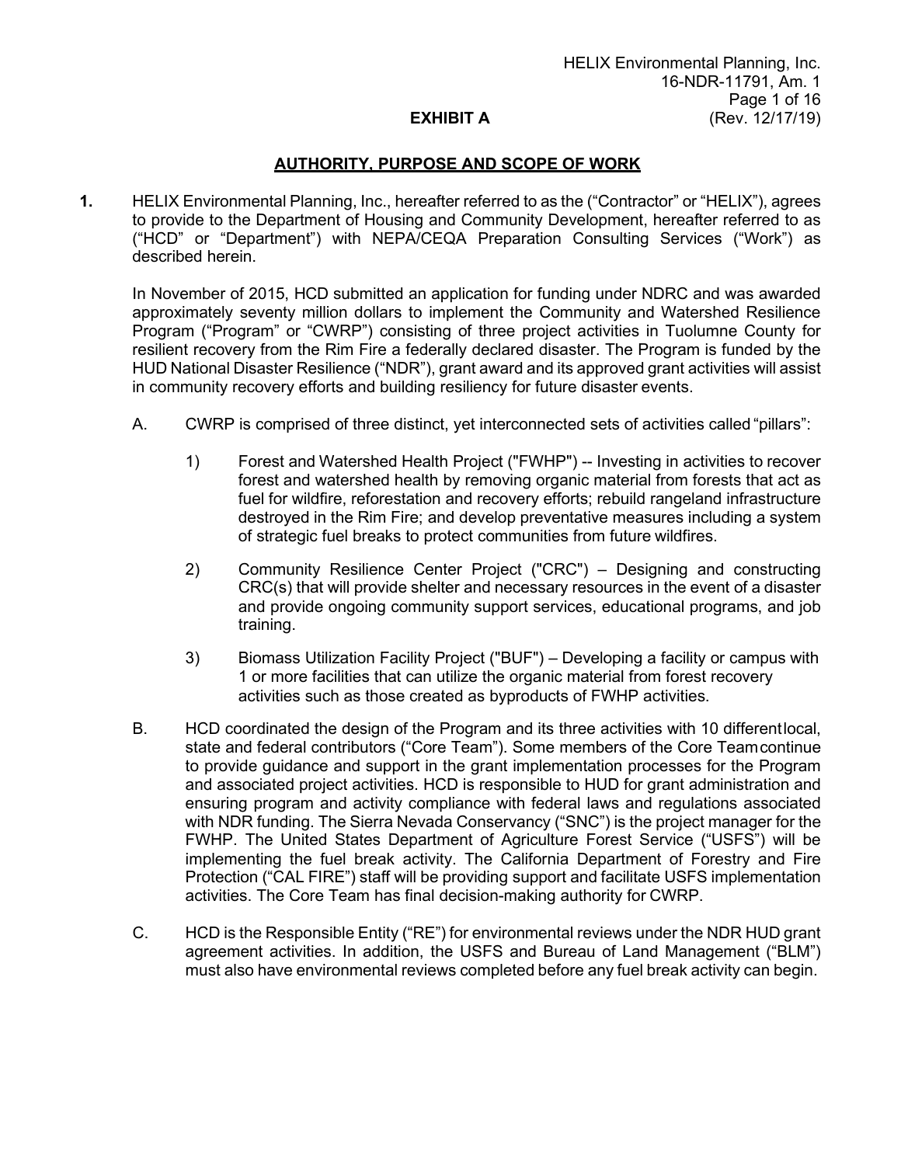#### **AUTHORITY, PURPOSE AND SCOPE OF WORK**

**1.** HELIX Environmental Planning, Inc., hereafter referred to as the ("Contractor" or "HELIX"), agrees to provide to the Department of Housing and Community Development, hereafter referred to as ("HCD" or "Department") with NEPA/CEQA Preparation Consulting Services ("Work") as described herein.

In November of 2015, HCD submitted an application for funding under NDRC and was awarded approximately seventy million dollars to implement the Community and Watershed Resilience Program ("Program" or "CWRP") consisting of three project activities in Tuolumne County for resilient recovery from the Rim Fire a federally declared disaster. The Program is funded by the HUD National Disaster Resilience ("NDR"), grant award and its approved grant activities will assist in community recovery efforts and building resiliency for future disaster events.

- A. CWRP is comprised of three distinct, yet interconnected sets of activities called "pillars":
	- 1) Forest and Watershed Health Project ("FWHP") -- Investing in activities to recover forest and watershed health by removing organic material from forests that act as fuel for wildfire, reforestation and recovery efforts; rebuild rangeland infrastructure destroyed in the Rim Fire; and develop preventative measures including a system of strategic fuel breaks to protect communities from future wildfires.
	- 2) Community Resilience Center Project ("CRC") Designing and constructing CRC(s) that will provide shelter and necessary resources in the event of a disaster and provide ongoing community support services, educational programs, and job training.
	- 3) Biomass Utilization Facility Project ("BUF") Developing a facility or campus with 1 or more facilities that can utilize the organic material from forest recovery activities such as those created as byproducts of FWHP activities.
- B. HCD coordinated the design of the Program and its three activities with 10 differentlocal, state and federal contributors ("Core Team"). Some members of the Core Teamcontinue to provide guidance and support in the grant implementation processes for the Program and associated project activities. HCD is responsible to HUD for grant administration and ensuring program and activity compliance with federal laws and regulations associated with NDR funding. The Sierra Nevada Conservancy ("SNC") is the project manager for the FWHP. The United States Department of Agriculture Forest Service ("USFS") will be implementing the fuel break activity. The California Department of Forestry and Fire Protection ("CAL FIRE") staff will be providing support and facilitate USFS implementation activities. The Core Team has final decision-making authority for CWRP.
- C. HCD is the Responsible Entity ("RE") for environmental reviews under the NDR HUD grant agreement activities. In addition, the USFS and Bureau of Land Management ("BLM") must also have environmental reviews completed before any fuel break activity can begin.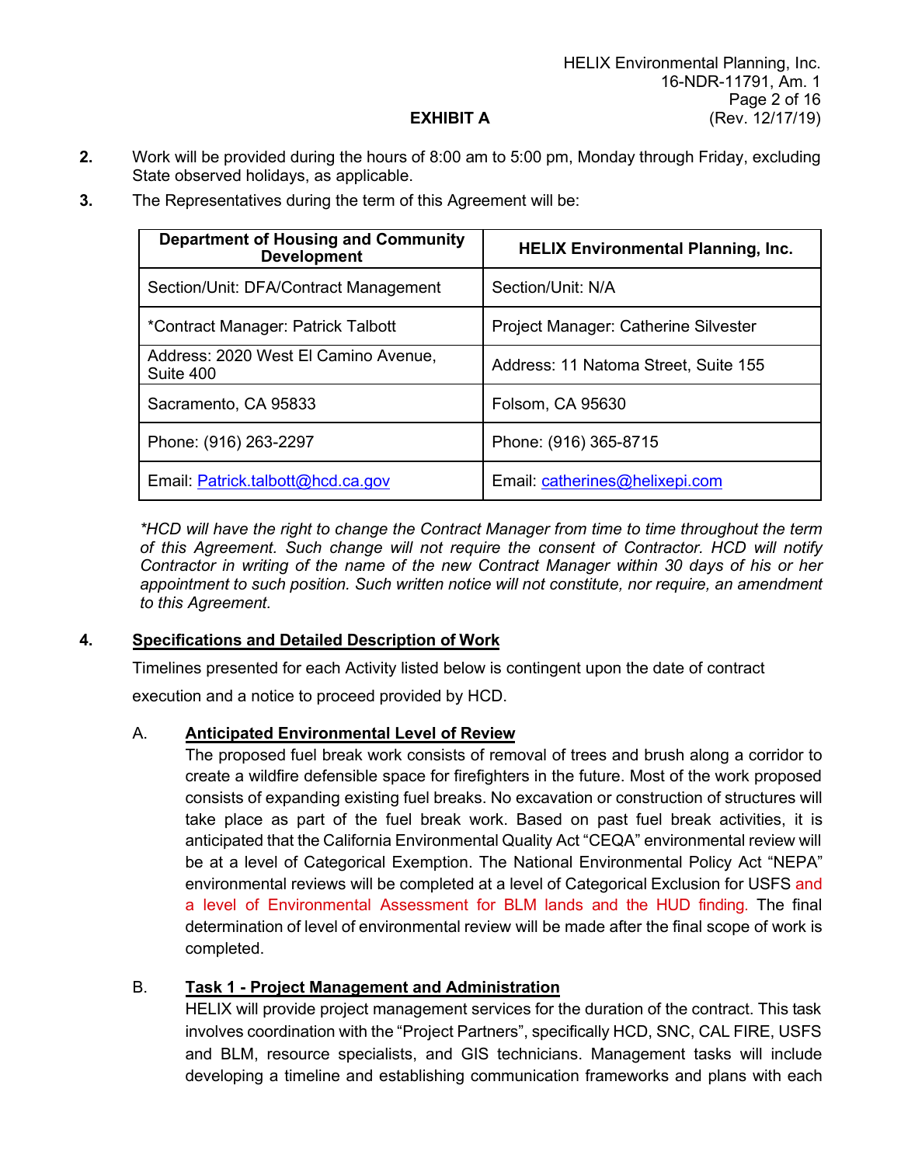**2.** Work will be provided during the hours of 8:00 am to 5:00 pm, Monday through Friday, excluding State observed holidays, as applicable.

| <b>Department of Housing and Community</b><br><b>Development</b> | <b>HELIX Environmental Planning, Inc.</b> |  |  |
|------------------------------------------------------------------|-------------------------------------------|--|--|
| Section/Unit: DFA/Contract Management                            | Section/Unit: N/A                         |  |  |
| *Contract Manager: Patrick Talbott                               | Project Manager: Catherine Silvester      |  |  |
| Address: 2020 West El Camino Avenue,<br>Suite 400                | Address: 11 Natoma Street, Suite 155      |  |  |
| Sacramento, CA 95833                                             | Folsom, CA 95630                          |  |  |
| Phone: (916) 263-2297                                            | Phone: (916) 365-8715                     |  |  |
| Email: Patrick.talbott@hcd.ca.gov                                | Email: catherines@helixepi.com            |  |  |

**3.** The Representatives during the term of this Agreement will be:

*\*HCD will have the right to change the Contract Manager from time to time throughout the term of this Agreement. Such change will not require the consent of Contractor. HCD will notify Contractor in writing of the name of the new Contract Manager within 30 days of his or her appointment to such position. Such written notice will not constitute, nor require, an amendment to this Agreement.*

## **4. Specifications and Detailed Description of Work**

Timelines presented for each Activity listed below is contingent upon the date of contract

execution and a notice to proceed provided by HCD.

## A. **Anticipated Environmental Level of Review**

The proposed fuel break work consists of removal of trees and brush along a corridor to create a wildfire defensible space for firefighters in the future. Most of the work proposed consists of expanding existing fuel breaks. No excavation or construction of structures will take place as part of the fuel break work. Based on past fuel break activities, it is anticipated that the California Environmental Quality Act "CEQA" environmental review will be at a level of Categorical Exemption. The National Environmental Policy Act "NEPA" environmental reviews will be completed at a level of Categorical Exclusion for USFS and a level of Environmental Assessment for BLM lands and the HUD finding. The final determination of level of environmental review will be made after the final scope of work is completed.

# B. **Task 1 - Project Management and Administration**

HELIX will provide project management services for the duration of the contract. This task involves coordination with the "Project Partners", specifically HCD, SNC, CAL FIRE, USFS and BLM, resource specialists, and GIS technicians. Management tasks will include developing a timeline and establishing communication frameworks and plans with each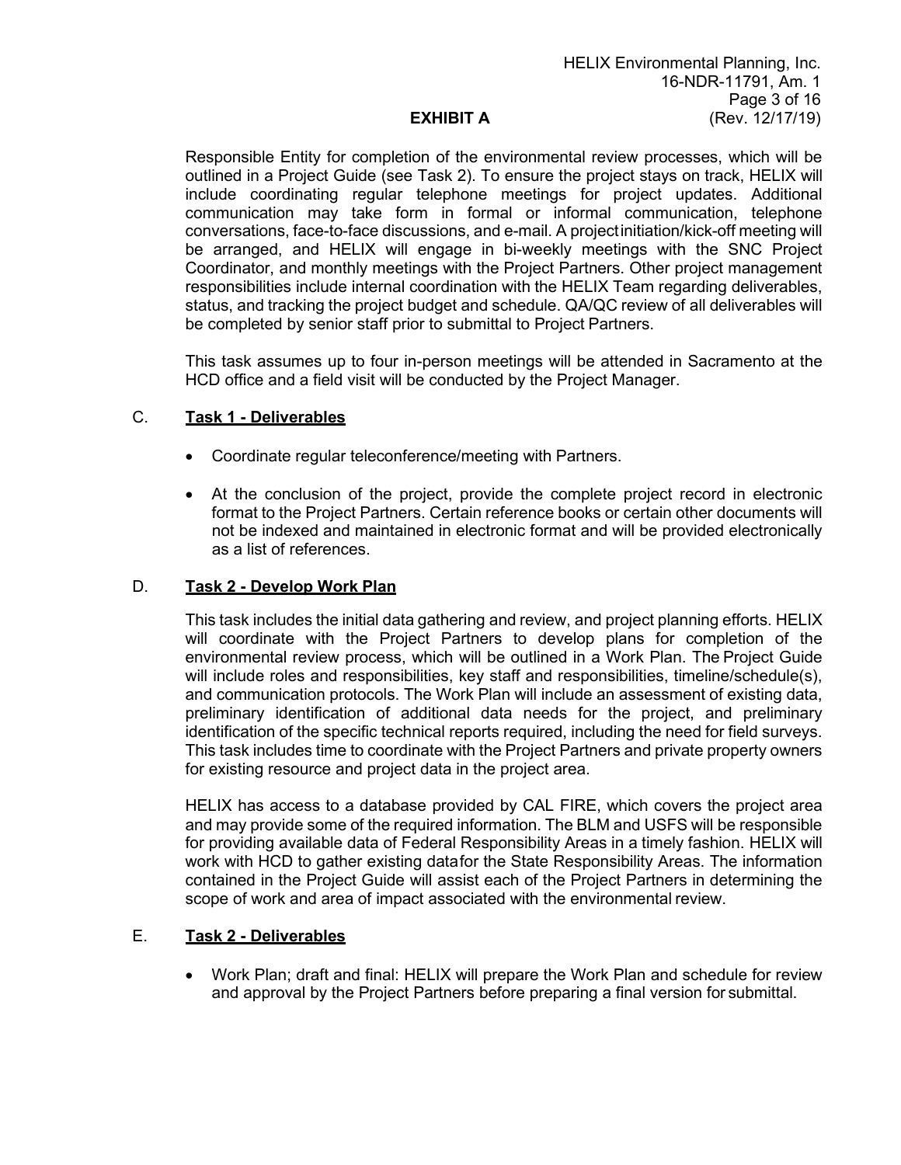Responsible Entity for completion of the environmental review processes, which will be outlined in a Project Guide (see Task 2). To ensure the project stays on track, HELIX will include coordinating regular telephone meetings for project updates. Additional communication may take form in formal or informal communication, telephone conversations, face-to-face discussions, and e-mail. A projectinitiation/kick-off meeting will be arranged, and HELIX will engage in bi-weekly meetings with the SNC Project Coordinator, and monthly meetings with the Project Partners. Other project management responsibilities include internal coordination with the HELIX Team regarding deliverables, status, and tracking the project budget and schedule. QA/QC review of all deliverables will be completed by senior staff prior to submittal to Project Partners.

This task assumes up to four in-person meetings will be attended in Sacramento at the HCD office and a field visit will be conducted by the Project Manager.

#### C. **Task 1 - Deliverables**

- Coordinate regular teleconference/meeting with Partners.
- At the conclusion of the project, provide the complete project record in electronic format to the Project Partners. Certain reference books or certain other documents will not be indexed and maintained in electronic format and will be provided electronically as a list of references.

#### D. **Task 2 - Develop Work Plan**

This task includes the initial data gathering and review, and project planning efforts. HELIX will coordinate with the Project Partners to develop plans for completion of the environmental review process, which will be outlined in a Work Plan. The Project Guide will include roles and responsibilities, key staff and responsibilities, timeline/schedule(s), and communication protocols. The Work Plan will include an assessment of existing data, preliminary identification of additional data needs for the project, and preliminary identification of the specific technical reports required, including the need for field surveys. This task includes time to coordinate with the Project Partners and private property owners for existing resource and project data in the project area.

HELIX has access to a database provided by CAL FIRE, which covers the project area and may provide some of the required information. The BLM and USFS will be responsible for providing available data of Federal Responsibility Areas in a timely fashion. HELIX will work with HCD to gather existing datafor the State Responsibility Areas. The information contained in the Project Guide will assist each of the Project Partners in determining the scope of work and area of impact associated with the environmental review.

#### E. **Task 2 - Deliverables**

• Work Plan; draft and final: HELIX will prepare the Work Plan and schedule for review and approval by the Project Partners before preparing a final version for submittal.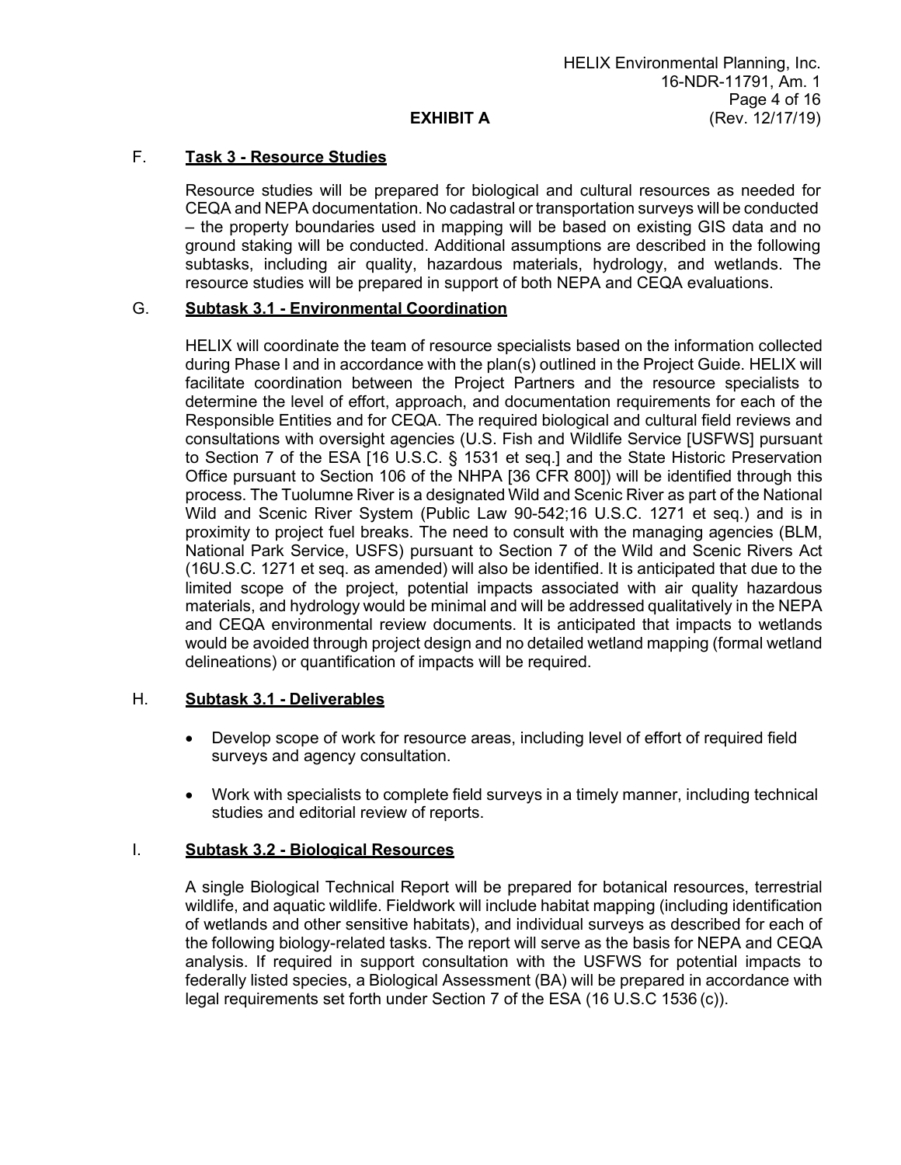# F. **Task 3 - Resource Studies**

Resource studies will be prepared for biological and cultural resources as needed for CEQA and NEPA documentation. No cadastral or transportation surveys will be conducted – the property boundaries used in mapping will be based on existing GIS data and no ground staking will be conducted. Additional assumptions are described in the following subtasks, including air quality, hazardous materials, hydrology, and wetlands. The resource studies will be prepared in support of both NEPA and CEQA evaluations.

## G. **Subtask 3.1 - Environmental Coordination**

HELIX will coordinate the team of resource specialists based on the information collected during Phase I and in accordance with the plan(s) outlined in the Project Guide. HELIX will facilitate coordination between the Project Partners and the resource specialists to determine the level of effort, approach, and documentation requirements for each of the Responsible Entities and for CEQA. The required biological and cultural field reviews and consultations with oversight agencies (U.S. Fish and Wildlife Service [USFWS] pursuant to Section 7 of the ESA [16 U.S.C. § 1531 et seq.] and the State Historic Preservation Office pursuant to Section 106 of the NHPA [36 CFR 800]) will be identified through this process. The Tuolumne River is a designated Wild and Scenic River as part of the National Wild and Scenic River System (Public Law 90-542;16 U.S.C. 1271 et seq.) and is in proximity to project fuel breaks. The need to consult with the managing agencies (BLM, National Park Service, USFS) pursuant to Section 7 of the Wild and Scenic Rivers Act (16U.S.C. 1271 et seq. as amended) will also be identified. It is anticipated that due to the limited scope of the project, potential impacts associated with air quality hazardous materials, and hydrology would be minimal and will be addressed qualitatively in the NEPA and CEQA environmental review documents. It is anticipated that impacts to wetlands would be avoided through project design and no detailed wetland mapping (formal wetland delineations) or quantification of impacts will be required.

## H. **Subtask 3.1 - Deliverables**

- Develop scope of work for resource areas, including level of effort of required field surveys and agency consultation.
- Work with specialists to complete field surveys in a timely manner, including technical studies and editorial review of reports.

## I. **Subtask 3.2 - Biological Resources**

A single Biological Technical Report will be prepared for botanical resources, terrestrial wildlife, and aquatic wildlife. Fieldwork will include habitat mapping (including identification of wetlands and other sensitive habitats), and individual surveys as described for each of the following biology-related tasks. The report will serve as the basis for NEPA and CEQA analysis. If required in support consultation with the USFWS for potential impacts to federally listed species, a Biological Assessment (BA) will be prepared in accordance with legal requirements set forth under Section 7 of the ESA (16 U.S.C 1536 (c)).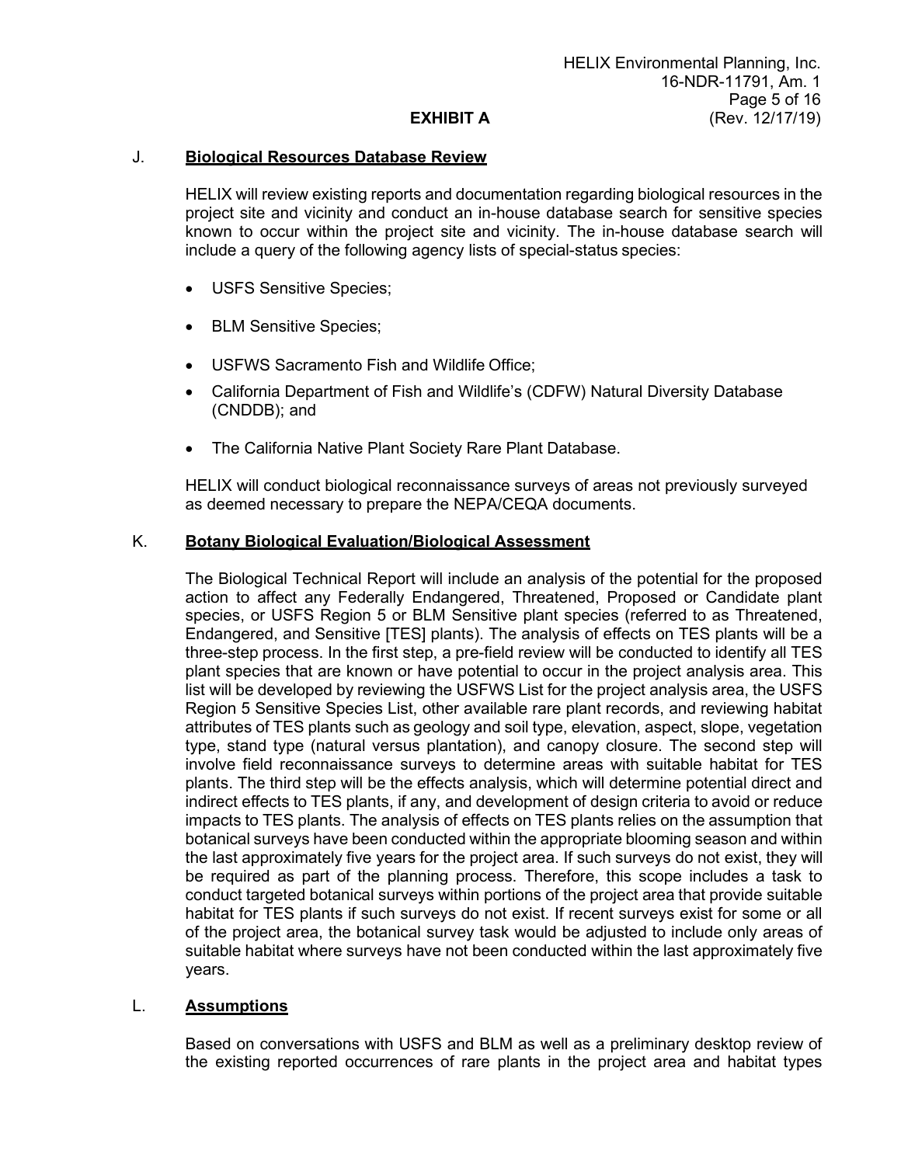#### J. **Biological Resources Database Review**

HELIX will review existing reports and documentation regarding biological resources in the project site and vicinity and conduct an in-house database search for sensitive species known to occur within the project site and vicinity. The in-house database search will include a query of the following agency lists of special-status species:

- USFS Sensitive Species;
- BLM Sensitive Species;
- USFWS Sacramento Fish and Wildlife Office;
- California Department of Fish and Wildlife's (CDFW) Natural Diversity Database (CNDDB); and
- The California Native Plant Society Rare Plant Database.

HELIX will conduct biological reconnaissance surveys of areas not previously surveyed as deemed necessary to prepare the NEPA/CEQA documents.

#### K. **Botany Biological Evaluation/Biological Assessment**

The Biological Technical Report will include an analysis of the potential for the proposed action to affect any Federally Endangered, Threatened, Proposed or Candidate plant species, or USFS Region 5 or BLM Sensitive plant species (referred to as Threatened, Endangered, and Sensitive [TES] plants). The analysis of effects on TES plants will be a three-step process. In the first step, a pre-field review will be conducted to identify all TES plant species that are known or have potential to occur in the project analysis area. This list will be developed by reviewing the USFWS List for the project analysis area, the USFS Region 5 Sensitive Species List, other available rare plant records, and reviewing habitat attributes of TES plants such as geology and soil type, elevation, aspect, slope, vegetation type, stand type (natural versus plantation), and canopy closure. The second step will involve field reconnaissance surveys to determine areas with suitable habitat for TES plants. The third step will be the effects analysis, which will determine potential direct and indirect effects to TES plants, if any, and development of design criteria to avoid or reduce impacts to TES plants. The analysis of effects on TES plants relies on the assumption that botanical surveys have been conducted within the appropriate blooming season and within the last approximately five years for the project area. If such surveys do not exist, they will be required as part of the planning process. Therefore, this scope includes a task to conduct targeted botanical surveys within portions of the project area that provide suitable habitat for TES plants if such surveys do not exist. If recent surveys exist for some or all of the project area, the botanical survey task would be adjusted to include only areas of suitable habitat where surveys have not been conducted within the last approximately five years.

#### L. **Assumptions**

Based on conversations with USFS and BLM as well as a preliminary desktop review of the existing reported occurrences of rare plants in the project area and habitat types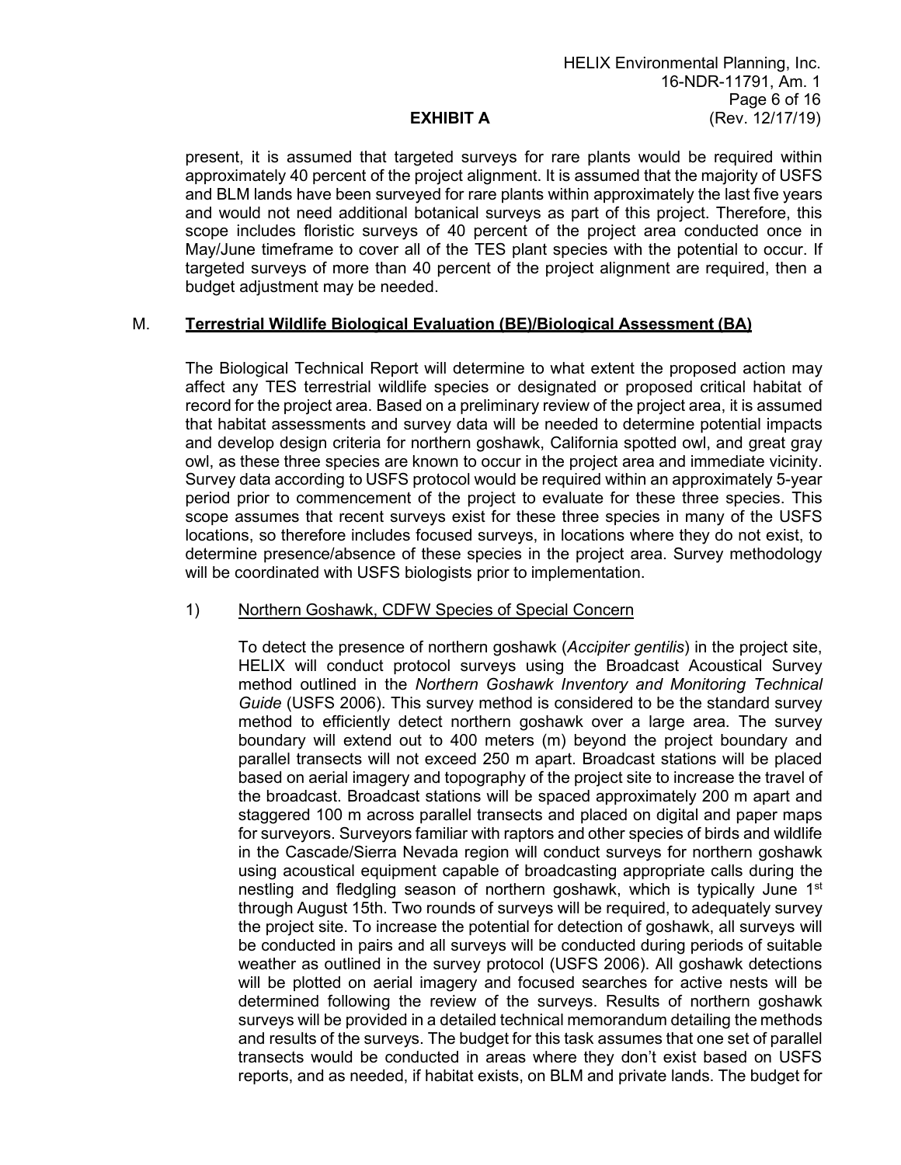present, it is assumed that targeted surveys for rare plants would be required within approximately 40 percent of the project alignment. It is assumed that the majority of USFS and BLM lands have been surveyed for rare plants within approximately the last five years and would not need additional botanical surveys as part of this project. Therefore, this scope includes floristic surveys of 40 percent of the project area conducted once in May/June timeframe to cover all of the TES plant species with the potential to occur. If targeted surveys of more than 40 percent of the project alignment are required, then a budget adjustment may be needed.

#### M. **Terrestrial Wildlife Biological Evaluation (BE)/Biological Assessment (BA)**

The Biological Technical Report will determine to what extent the proposed action may affect any TES terrestrial wildlife species or designated or proposed critical habitat of record for the project area. Based on a preliminary review of the project area, it is assumed that habitat assessments and survey data will be needed to determine potential impacts and develop design criteria for northern goshawk, California spotted owl, and great gray owl, as these three species are known to occur in the project area and immediate vicinity. Survey data according to USFS protocol would be required within an approximately 5-year period prior to commencement of the project to evaluate for these three species. This scope assumes that recent surveys exist for these three species in many of the USFS locations, so therefore includes focused surveys, in locations where they do not exist, to determine presence/absence of these species in the project area. Survey methodology will be coordinated with USFS biologists prior to implementation.

#### 1) Northern Goshawk, CDFW Species of Special Concern

To detect the presence of northern goshawk (*Accipiter gentilis*) in the project site, HELIX will conduct protocol surveys using the Broadcast Acoustical Survey method outlined in the *Northern Goshawk Inventory and Monitoring Technical Guide* (USFS 2006). This survey method is considered to be the standard survey method to efficiently detect northern goshawk over a large area. The survey boundary will extend out to 400 meters (m) beyond the project boundary and parallel transects will not exceed 250 m apart. Broadcast stations will be placed based on aerial imagery and topography of the project site to increase the travel of the broadcast. Broadcast stations will be spaced approximately 200 m apart and staggered 100 m across parallel transects and placed on digital and paper maps for surveyors. Surveyors familiar with raptors and other species of birds and wildlife in the Cascade/Sierra Nevada region will conduct surveys for northern goshawk using acoustical equipment capable of broadcasting appropriate calls during the nestling and fledgling season of northern goshawk, which is typically June 1<sup>st</sup> through August 15th. Two rounds of surveys will be required, to adequately survey the project site. To increase the potential for detection of goshawk, all surveys will be conducted in pairs and all surveys will be conducted during periods of suitable weather as outlined in the survey protocol (USFS 2006). All goshawk detections will be plotted on aerial imagery and focused searches for active nests will be determined following the review of the surveys. Results of northern goshawk surveys will be provided in a detailed technical memorandum detailing the methods and results of the surveys. The budget for this task assumes that one set of parallel transects would be conducted in areas where they don't exist based on USFS reports, and as needed, if habitat exists, on BLM and private lands. The budget for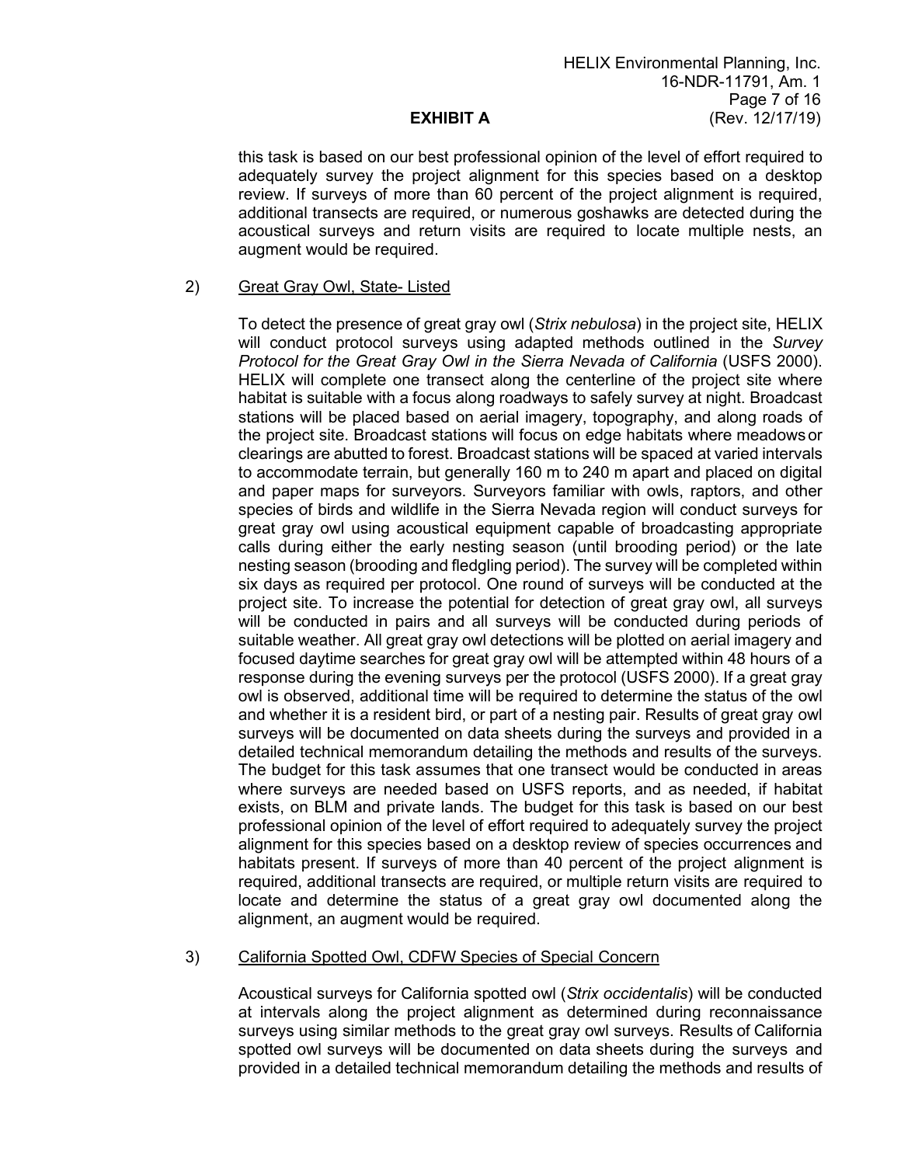this task is based on our best professional opinion of the level of effort required to adequately survey the project alignment for this species based on a desktop review. If surveys of more than 60 percent of the project alignment is required, additional transects are required, or numerous goshawks are detected during the acoustical surveys and return visits are required to locate multiple nests, an augment would be required.

#### 2) Great Gray Owl, State- Listed

To detect the presence of great gray owl (*Strix nebulosa*) in the project site, HELIX will conduct protocol surveys using adapted methods outlined in the *Survey Protocol for the Great Gray Owl in the Sierra Nevada of California* (USFS 2000). HELIX will complete one transect along the centerline of the project site where habitat is suitable with a focus along roadways to safely survey at night. Broadcast stations will be placed based on aerial imagery, topography, and along roads of the project site. Broadcast stations will focus on edge habitats where meadowsor clearings are abutted to forest. Broadcast stations will be spaced at varied intervals to accommodate terrain, but generally 160 m to 240 m apart and placed on digital and paper maps for surveyors. Surveyors familiar with owls, raptors, and other species of birds and wildlife in the Sierra Nevada region will conduct surveys for great gray owl using acoustical equipment capable of broadcasting appropriate calls during either the early nesting season (until brooding period) or the late nesting season (brooding and fledgling period). The survey will be completed within six days as required per protocol. One round of surveys will be conducted at the project site. To increase the potential for detection of great gray owl, all surveys will be conducted in pairs and all surveys will be conducted during periods of suitable weather. All great gray owl detections will be plotted on aerial imagery and focused daytime searches for great gray owl will be attempted within 48 hours of a response during the evening surveys per the protocol (USFS 2000). If a great gray owl is observed, additional time will be required to determine the status of the owl and whether it is a resident bird, or part of a nesting pair. Results of great gray owl surveys will be documented on data sheets during the surveys and provided in a detailed technical memorandum detailing the methods and results of the surveys. The budget for this task assumes that one transect would be conducted in areas where surveys are needed based on USFS reports, and as needed, if habitat exists, on BLM and private lands. The budget for this task is based on our best professional opinion of the level of effort required to adequately survey the project alignment for this species based on a desktop review of species occurrences and habitats present. If surveys of more than 40 percent of the project alignment is required, additional transects are required, or multiple return visits are required to locate and determine the status of a great gray owl documented along the alignment, an augment would be required.

#### 3) California Spotted Owl, CDFW Species of Special Concern

Acoustical surveys for California spotted owl (*Strix occidentalis*) will be conducted at intervals along the project alignment as determined during reconnaissance surveys using similar methods to the great gray owl surveys. Results of California spotted owl surveys will be documented on data sheets during the surveys and provided in a detailed technical memorandum detailing the methods and results of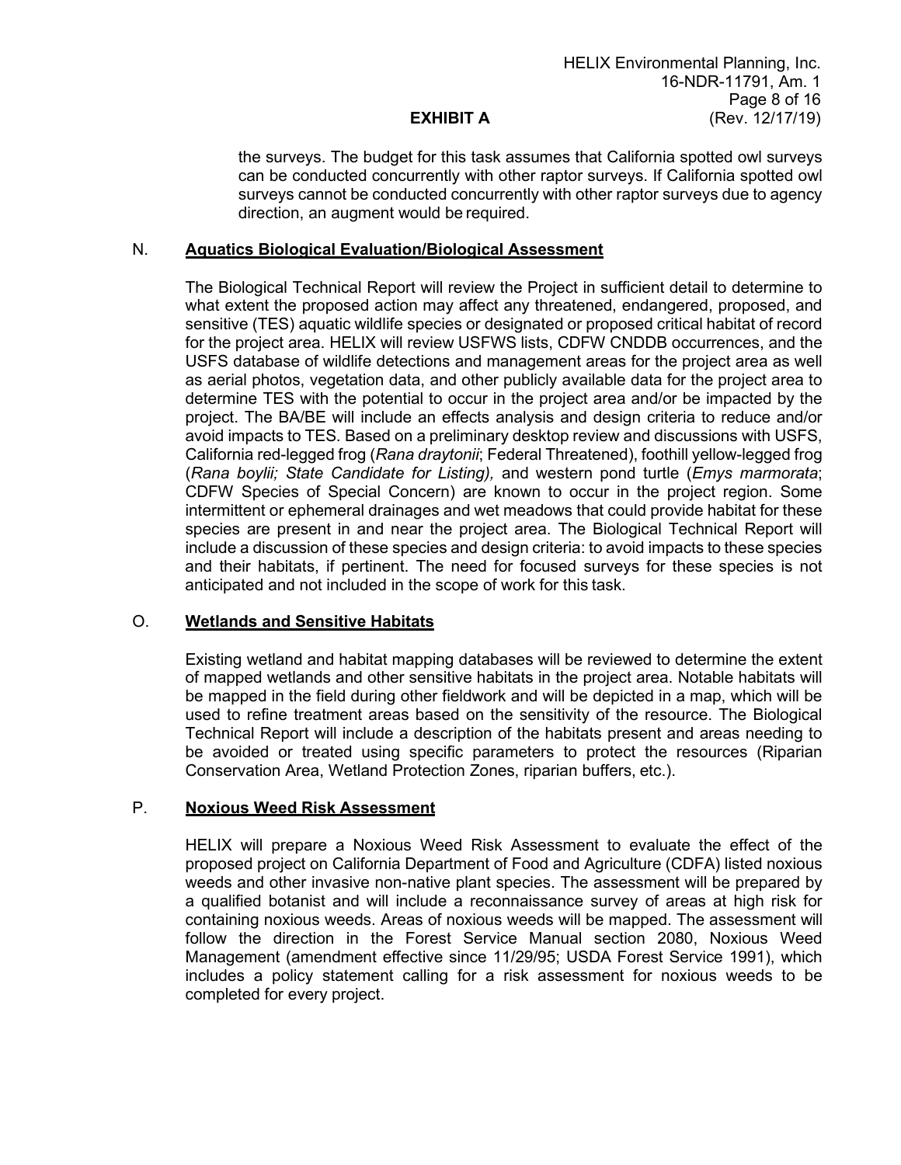the surveys. The budget for this task assumes that California spotted owl surveys can be conducted concurrently with other raptor surveys. If California spotted owl surveys cannot be conducted concurrently with other raptor surveys due to agency direction, an augment would be required.

#### N. **Aquatics Biological Evaluation/Biological Assessment**

The Biological Technical Report will review the Project in sufficient detail to determine to what extent the proposed action may affect any threatened, endangered, proposed, and sensitive (TES) aquatic wildlife species or designated or proposed critical habitat of record for the project area. HELIX will review USFWS lists, CDFW CNDDB occurrences, and the USFS database of wildlife detections and management areas for the project area as well as aerial photos, vegetation data, and other publicly available data for the project area to determine TES with the potential to occur in the project area and/or be impacted by the project. The BA/BE will include an effects analysis and design criteria to reduce and/or avoid impacts to TES. Based on a preliminary desktop review and discussions with USFS, California red-legged frog (*Rana draytonii*; Federal Threatened), foothill yellow-legged frog (*Rana boylii; State Candidate for Listing),* and western pond turtle (*Emys marmorata*; CDFW Species of Special Concern) are known to occur in the project region. Some intermittent or ephemeral drainages and wet meadows that could provide habitat for these species are present in and near the project area. The Biological Technical Report will include a discussion of these species and design criteria: to avoid impacts to these species and their habitats, if pertinent. The need for focused surveys for these species is not anticipated and not included in the scope of work for this task.

## O. **Wetlands and Sensitive Habitats**

Existing wetland and habitat mapping databases will be reviewed to determine the extent of mapped wetlands and other sensitive habitats in the project area. Notable habitats will be mapped in the field during other fieldwork and will be depicted in a map, which will be used to refine treatment areas based on the sensitivity of the resource. The Biological Technical Report will include a description of the habitats present and areas needing to be avoided or treated using specific parameters to protect the resources (Riparian Conservation Area, Wetland Protection Zones, riparian buffers, etc.).

#### P. **Noxious Weed Risk Assessment**

HELIX will prepare a Noxious Weed Risk Assessment to evaluate the effect of the proposed project on California Department of Food and Agriculture (CDFA) listed noxious weeds and other invasive non-native plant species. The assessment will be prepared by a qualified botanist and will include a reconnaissance survey of areas at high risk for containing noxious weeds. Areas of noxious weeds will be mapped. The assessment will follow the direction in the Forest Service Manual section 2080, Noxious Weed Management (amendment effective since 11/29/95; USDA Forest Service 1991), which includes a policy statement calling for a risk assessment for noxious weeds to be completed for every project.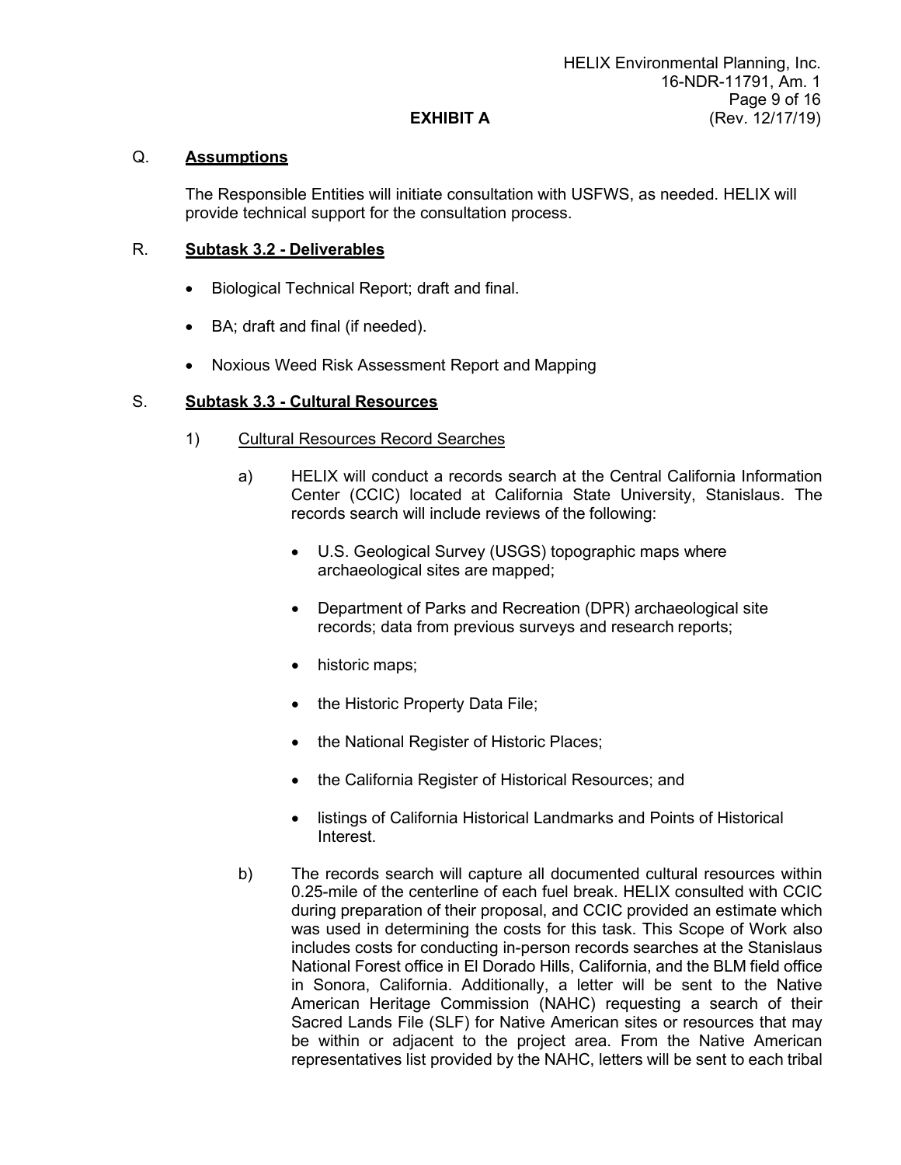# Q. **Assumptions**

The Responsible Entities will initiate consultation with USFWS, as needed. HELIX will provide technical support for the consultation process.

# R. **Subtask 3.2 - Deliverables**

- Biological Technical Report; draft and final.
- BA; draft and final (if needed).
- Noxious Weed Risk Assessment Report and Mapping

# S. **Subtask 3.3 - Cultural Resources**

- 1) Cultural Resources Record Searches
	- a) HELIX will conduct a records search at the Central California Information Center (CCIC) located at California State University, Stanislaus. The records search will include reviews of the following:
		- U.S. Geological Survey (USGS) topographic maps where archaeological sites are mapped;
		- Department of Parks and Recreation (DPR) archaeological site records; data from previous surveys and research reports;
		- historic maps;
		- the Historic Property Data File;
		- the National Register of Historic Places;
		- the California Register of Historical Resources; and
		- listings of California Historical Landmarks and Points of Historical Interest.
	- b) The records search will capture all documented cultural resources within 0.25-mile of the centerline of each fuel break. HELIX consulted with CCIC during preparation of their proposal, and CCIC provided an estimate which was used in determining the costs for this task. This Scope of Work also includes costs for conducting in-person records searches at the Stanislaus National Forest office in El Dorado Hills, California, and the BLM field office in Sonora, California. Additionally, a letter will be sent to the Native American Heritage Commission (NAHC) requesting a search of their Sacred Lands File (SLF) for Native American sites or resources that may be within or adjacent to the project area. From the Native American representatives list provided by the NAHC, letters will be sent to each tribal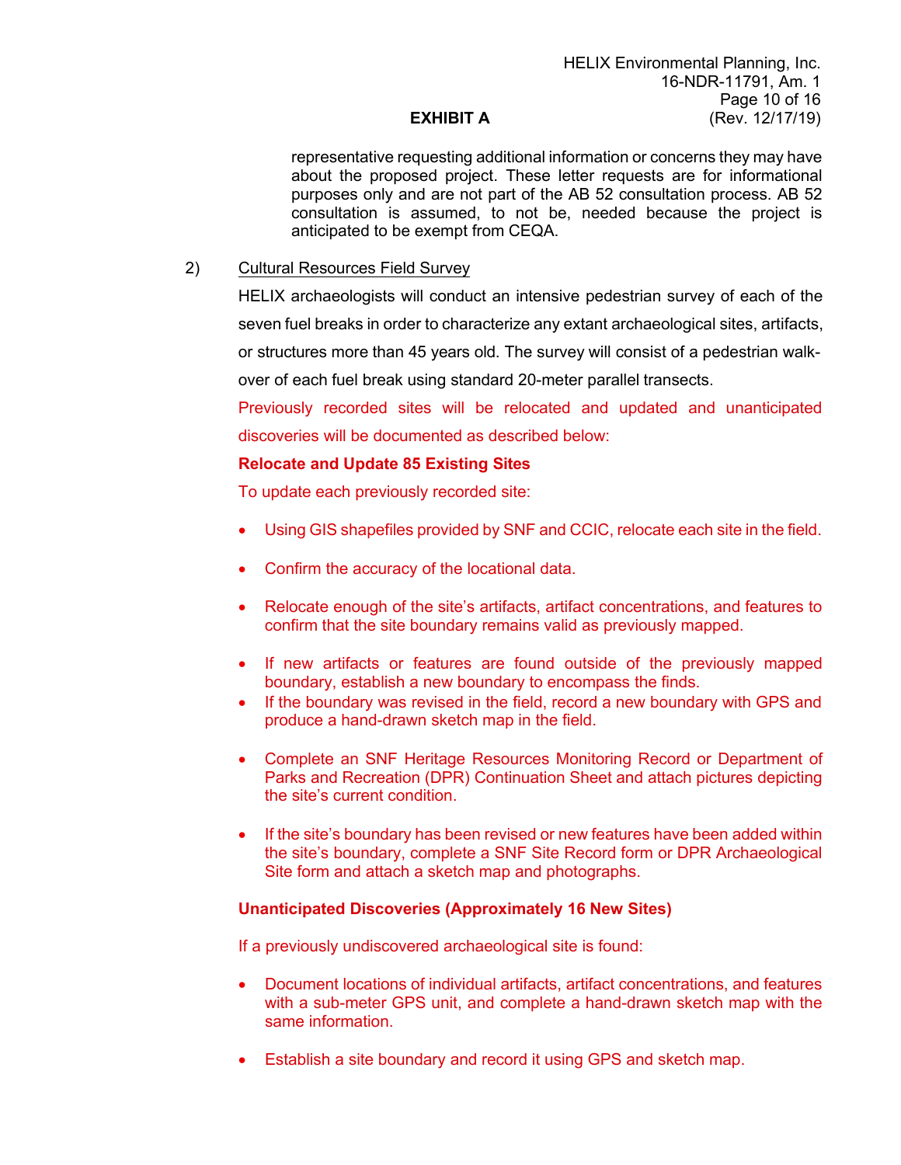representative requesting additional information or concerns they may have about the proposed project. These letter requests are for informational purposes only and are not part of the AB 52 consultation process. AB 52 consultation is assumed, to not be, needed because the project is anticipated to be exempt from CEQA.

#### 2) Cultural Resources Field Survey

HELIX archaeologists will conduct an intensive pedestrian survey of each of the

seven fuel breaks in order to characterize any extant archaeological sites, artifacts,

or structures more than 45 years old. The survey will consist of a pedestrian walk-

over of each fuel break using standard 20-meter parallel transects.

Previously recorded sites will be relocated and updated and unanticipated discoveries will be documented as described below:

#### **Relocate and Update 85 Existing Sites**

To update each previously recorded site:

- Using GIS shapefiles provided by SNF and CCIC, relocate each site in the field.
- Confirm the accuracy of the locational data.
- Relocate enough of the site's artifacts, artifact concentrations, and features to confirm that the site boundary remains valid as previously mapped.
- If new artifacts or features are found outside of the previously mapped boundary, establish a new boundary to encompass the finds.
- If the boundary was revised in the field, record a new boundary with GPS and produce a hand-drawn sketch map in the field.
- Complete an SNF Heritage Resources Monitoring Record or Department of Parks and Recreation (DPR) Continuation Sheet and attach pictures depicting the site's current condition.
- If the site's boundary has been revised or new features have been added within the site's boundary, complete a SNF Site Record form or DPR Archaeological Site form and attach a sketch map and photographs.

#### **Unanticipated Discoveries (Approximately 16 New Sites)**

If a previously undiscovered archaeological site is found:

- Document locations of individual artifacts, artifact concentrations, and features with a sub-meter GPS unit, and complete a hand-drawn sketch map with the same information.
- Establish a site boundary and record it using GPS and sketch map.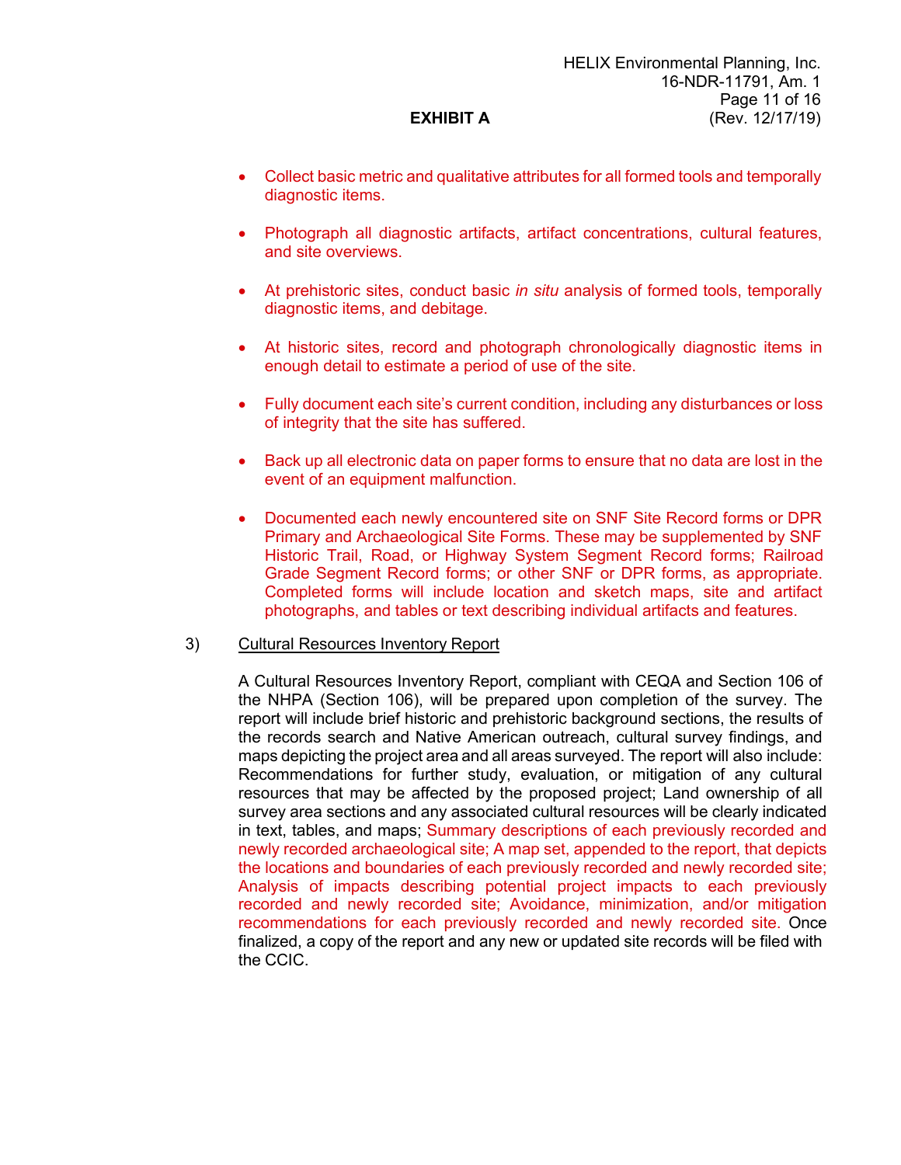- Collect basic metric and qualitative attributes for all formed tools and temporally diagnostic items.
- Photograph all diagnostic artifacts, artifact concentrations, cultural features, and site overviews.
- At prehistoric sites, conduct basic *in situ* analysis of formed tools, temporally diagnostic items, and debitage.
- At historic sites, record and photograph chronologically diagnostic items in enough detail to estimate a period of use of the site.
- Fully document each site's current condition, including any disturbances or loss of integrity that the site has suffered.
- Back up all electronic data on paper forms to ensure that no data are lost in the event of an equipment malfunction.
- Documented each newly encountered site on SNF Site Record forms or DPR Primary and Archaeological Site Forms. These may be supplemented by SNF Historic Trail, Road, or Highway System Segment Record forms; Railroad Grade Segment Record forms; or other SNF or DPR forms, as appropriate. Completed forms will include location and sketch maps, site and artifact photographs, and tables or text describing individual artifacts and features.

#### 3) Cultural Resources Inventory Report

A Cultural Resources Inventory Report, compliant with CEQA and Section 106 of the NHPA (Section 106), will be prepared upon completion of the survey. The report will include brief historic and prehistoric background sections, the results of the records search and Native American outreach, cultural survey findings, and maps depicting the project area and all areas surveyed. The report will also include: Recommendations for further study, evaluation, or mitigation of any cultural resources that may be affected by the proposed project; Land ownership of all survey area sections and any associated cultural resources will be clearly indicated in text, tables, and maps; Summary descriptions of each previously recorded and newly recorded archaeological site; A map set, appended to the report, that depicts the locations and boundaries of each previously recorded and newly recorded site; Analysis of impacts describing potential project impacts to each previously recorded and newly recorded site; Avoidance, minimization, and/or mitigation recommendations for each previously recorded and newly recorded site. Once finalized, a copy of the report and any new or updated site records will be filed with the CCIC.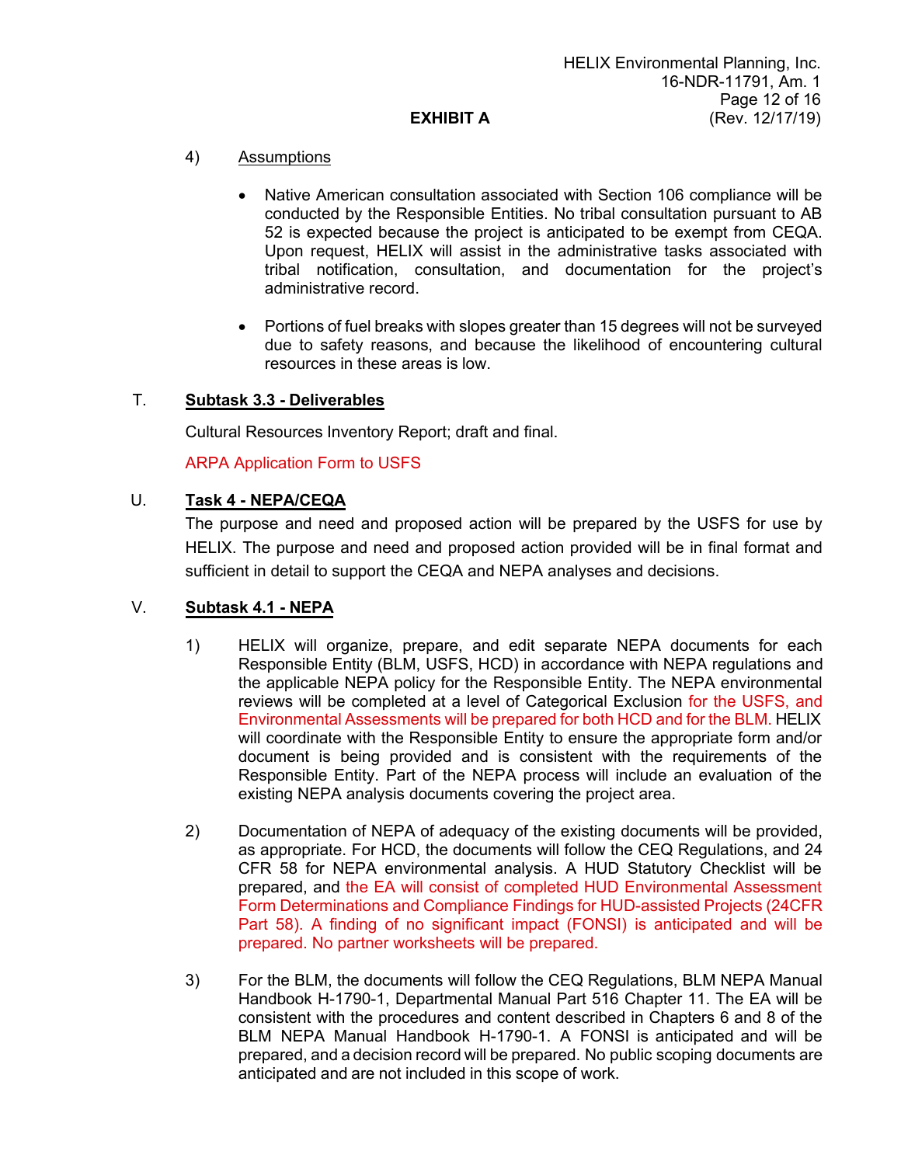# 4) Assumptions

- Native American consultation associated with Section 106 compliance will be conducted by the Responsible Entities. No tribal consultation pursuant to AB 52 is expected because the project is anticipated to be exempt from CEQA. Upon request, HELIX will assist in the administrative tasks associated with tribal notification, consultation, and documentation for the project's administrative record.
- Portions of fuel breaks with slopes greater than 15 degrees will not be surveyed due to safety reasons, and because the likelihood of encountering cultural resources in these areas is low.

## T. **Subtask 3.3 - Deliverables**

Cultural Resources Inventory Report; draft and final.

## ARPA Application Form to USFS

## U. **Task 4 - NEPA/CEQA**

The purpose and need and proposed action will be prepared by the USFS for use by HELIX. The purpose and need and proposed action provided will be in final format and sufficient in detail to support the CEQA and NEPA analyses and decisions.

## V. **Subtask 4.1 - NEPA**

- 1) HELIX will organize, prepare, and edit separate NEPA documents for each Responsible Entity (BLM, USFS, HCD) in accordance with NEPA regulations and the applicable NEPA policy for the Responsible Entity. The NEPA environmental reviews will be completed at a level of Categorical Exclusion for the USFS, and Environmental Assessments will be prepared for both HCD and for the BLM. HELIX will coordinate with the Responsible Entity to ensure the appropriate form and/or document is being provided and is consistent with the requirements of the Responsible Entity. Part of the NEPA process will include an evaluation of the existing NEPA analysis documents covering the project area.
- 2) Documentation of NEPA of adequacy of the existing documents will be provided, as appropriate. For HCD, the documents will follow the CEQ Regulations, and 24 CFR 58 for NEPA environmental analysis. A HUD Statutory Checklist will be prepared, and the EA will consist of completed HUD Environmental Assessment Form Determinations and Compliance Findings for HUD-assisted Projects (24CFR Part 58). A finding of no significant impact (FONSI) is anticipated and will be prepared. No partner worksheets will be prepared.
- 3) For the BLM, the documents will follow the CEQ Regulations, BLM NEPA Manual Handbook H-1790-1, Departmental Manual Part 516 Chapter 11. The EA will be consistent with the procedures and content described in Chapters 6 and 8 of the BLM NEPA Manual Handbook H-1790-1. A FONSI is anticipated and will be prepared, and a decision record will be prepared. No public scoping documents are anticipated and are not included in this scope of work.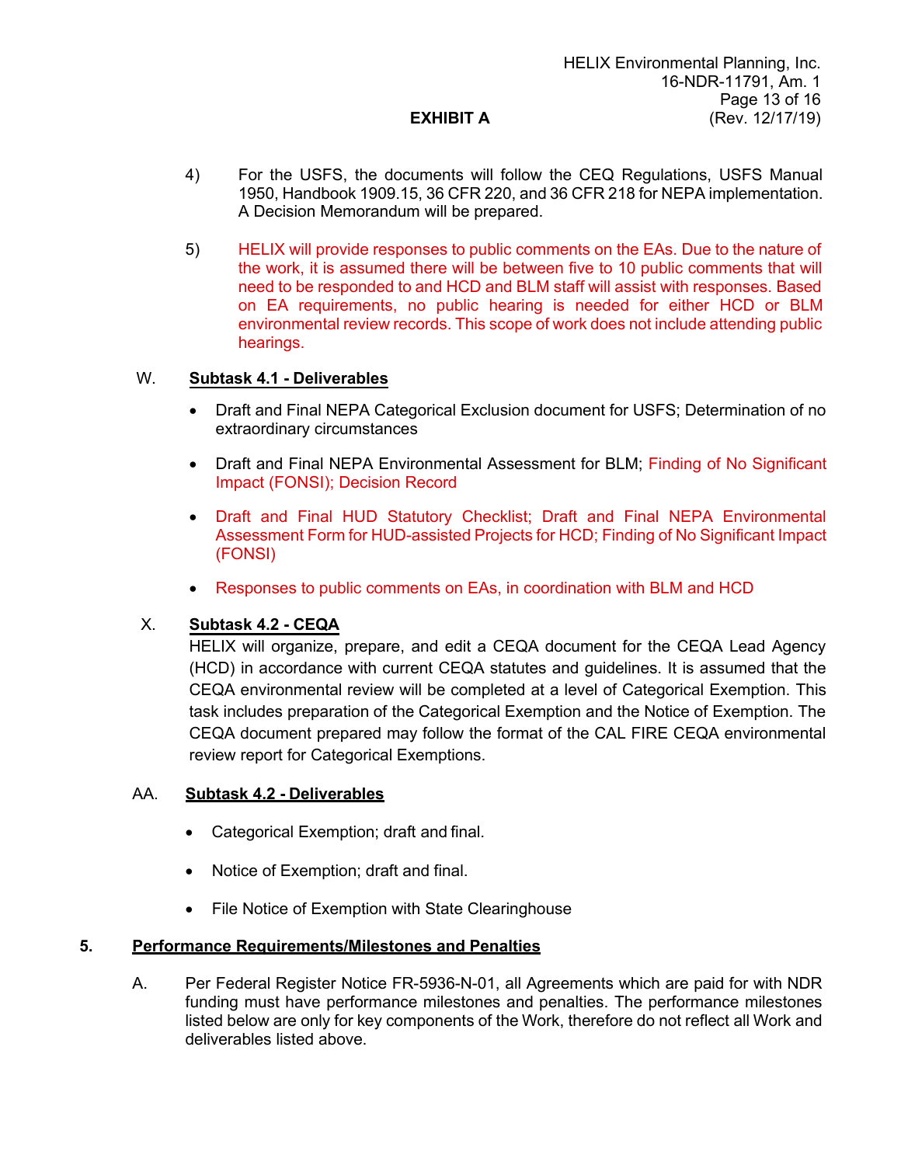- 4) For the USFS, the documents will follow the CEQ Regulations, USFS Manual 1950, Handbook 1909.15, 36 CFR 220, and 36 CFR 218 for NEPA implementation. A Decision Memorandum will be prepared.
- 5) HELIX will provide responses to public comments on the EAs. Due to the nature of the work, it is assumed there will be between five to 10 public comments that will need to be responded to and HCD and BLM staff will assist with responses. Based on EA requirements, no public hearing is needed for either HCD or BLM environmental review records. This scope of work does not include attending public hearings.

#### W. **Subtask 4.1 - Deliverables**

- Draft and Final NEPA Categorical Exclusion document for USFS; Determination of no extraordinary circumstances
- Draft and Final NEPA Environmental Assessment for BLM; Finding of No Significant Impact (FONSI); Decision Record
- Draft and Final HUD Statutory Checklist; Draft and Final NEPA Environmental Assessment Form for HUD-assisted Projects for HCD; Finding of No Significant Impact (FONSI)
- Responses to public comments on EAs, in coordination with BLM and HCD

## X. **Subtask 4.2 - CEQA**

HELIX will organize, prepare, and edit a CEQA document for the CEQA Lead Agency (HCD) in accordance with current CEQA statutes and guidelines. It is assumed that the CEQA environmental review will be completed at a level of Categorical Exemption. This task includes preparation of the Categorical Exemption and the Notice of Exemption. The CEQA document prepared may follow the format of the CAL FIRE CEQA environmental review report for Categorical Exemptions.

#### AA. **Subtask 4.2 - Deliverables**

- Categorical Exemption; draft and final.
- Notice of Exemption; draft and final.
- File Notice of Exemption with State Clearinghouse

#### **5. Performance Requirements/Milestones and Penalties**

A. Per Federal Register Notice FR-5936-N-01, all Agreements which are paid for with NDR funding must have performance milestones and penalties. The performance milestones listed below are only for key components of the Work, therefore do not reflect all Work and deliverables listed above.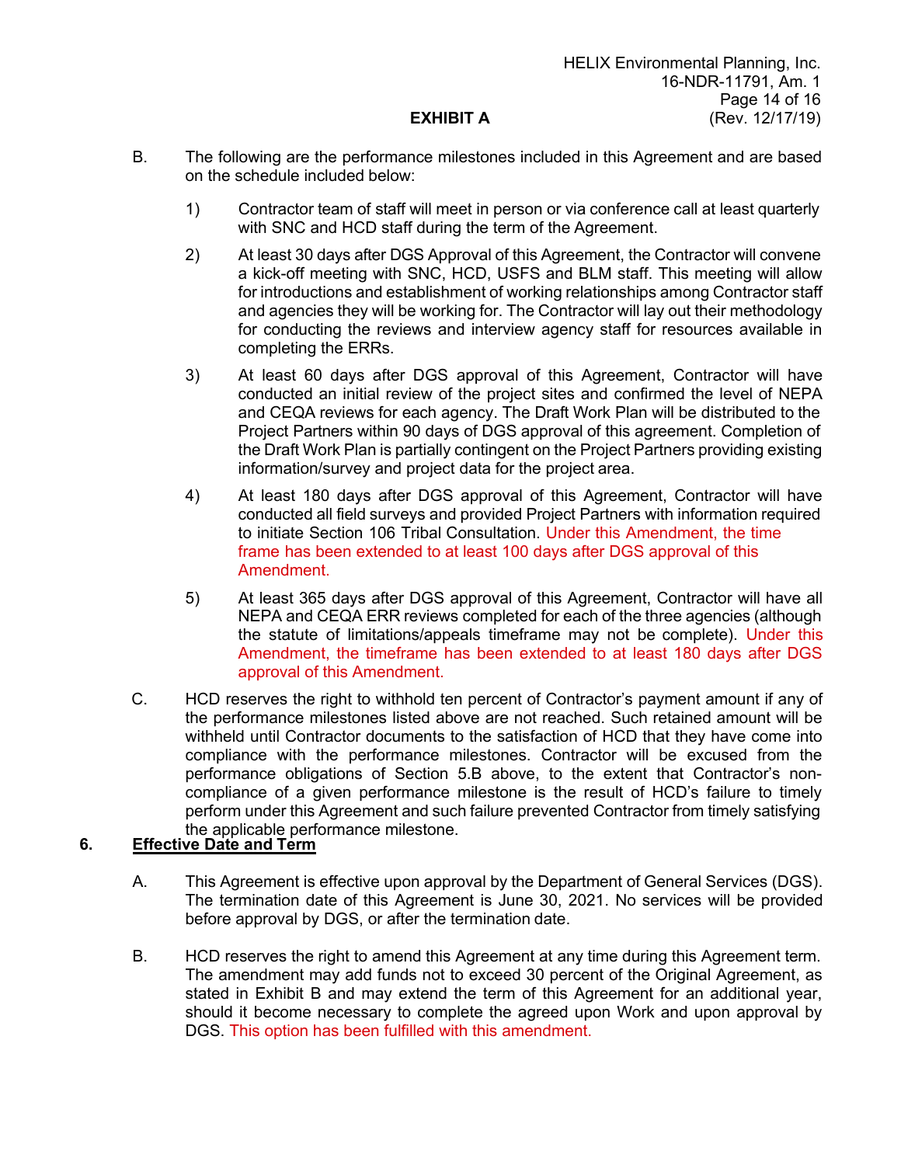- B. The following are the performance milestones included in this Agreement and are based on the schedule included below:
	- 1) Contractor team of staff will meet in person or via conference call at least quarterly with SNC and HCD staff during the term of the Agreement.
	- 2) At least 30 days after DGS Approval of this Agreement, the Contractor will convene a kick-off meeting with SNC, HCD, USFS and BLM staff. This meeting will allow for introductions and establishment of working relationships among Contractor staff and agencies they will be working for. The Contractor will lay out their methodology for conducting the reviews and interview agency staff for resources available in completing the ERRs.
	- 3) At least 60 days after DGS approval of this Agreement, Contractor will have conducted an initial review of the project sites and confirmed the level of NEPA and CEQA reviews for each agency. The Draft Work Plan will be distributed to the Project Partners within 90 days of DGS approval of this agreement. Completion of the Draft Work Plan is partially contingent on the Project Partners providing existing information/survey and project data for the project area.
	- 4) At least 180 days after DGS approval of this Agreement, Contractor will have conducted all field surveys and provided Project Partners with information required to initiate Section 106 Tribal Consultation. Under this Amendment, the time frame has been extended to at least 100 days after DGS approval of this Amendment.
	- 5) At least 365 days after DGS approval of this Agreement, Contractor will have all NEPA and CEQA ERR reviews completed for each of the three agencies (although the statute of limitations/appeals timeframe may not be complete). Under this Amendment, the timeframe has been extended to at least 180 days after DGS approval of this Amendment.
- C. HCD reserves the right to withhold ten percent of Contractor's payment amount if any of the performance milestones listed above are not reached. Such retained amount will be withheld until Contractor documents to the satisfaction of HCD that they have come into compliance with the performance milestones. Contractor will be excused from the performance obligations of Section 5.B above, to the extent that Contractor's noncompliance of a given performance milestone is the result of HCD's failure to timely perform under this Agreement and such failure prevented Contractor from timely satisfying the applicable performance milestone.

# **6. Effective Date and Term**

- A. This Agreement is effective upon approval by the Department of General Services (DGS). The termination date of this Agreement is June 30, 2021. No services will be provided before approval by DGS, or after the termination date.
- B. HCD reserves the right to amend this Agreement at any time during this Agreement term. The amendment may add funds not to exceed 30 percent of the Original Agreement, as stated in Exhibit B and may extend the term of this Agreement for an additional year, should it become necessary to complete the agreed upon Work and upon approval by DGS. This option has been fulfilled with this amendment.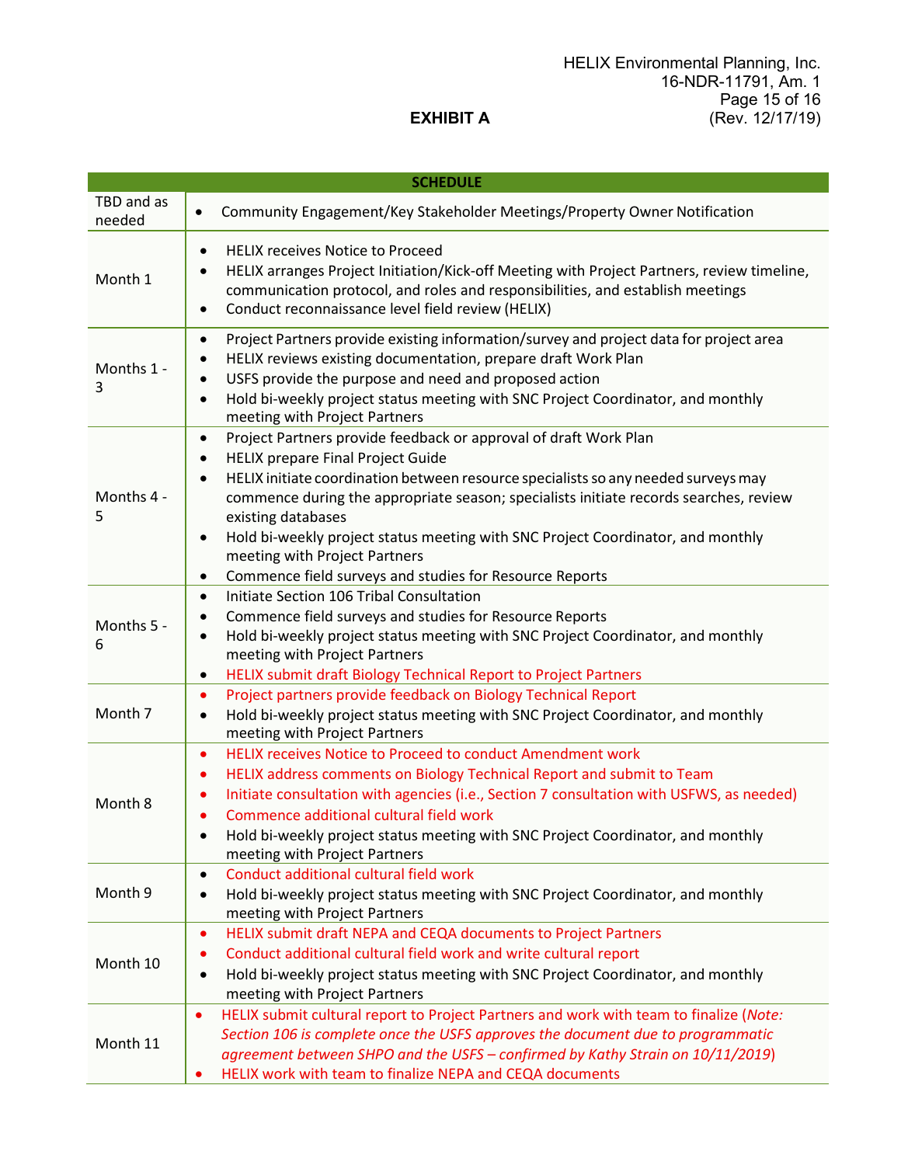#### HELIX Environmental Planning, Inc. 16-NDR-11791, Am. 1 Page 15 of 16 (Rev. 12/17/19)

# **EXHIBIT A**

| <b>SCHEDULE</b>      |                                                                                                                                                                                                                                                                                                                                                                                                                                                                                                                                                   |  |  |  |  |
|----------------------|---------------------------------------------------------------------------------------------------------------------------------------------------------------------------------------------------------------------------------------------------------------------------------------------------------------------------------------------------------------------------------------------------------------------------------------------------------------------------------------------------------------------------------------------------|--|--|--|--|
| TBD and as<br>needed | Community Engagement/Key Stakeholder Meetings/Property Owner Notification<br>$\bullet$                                                                                                                                                                                                                                                                                                                                                                                                                                                            |  |  |  |  |
| Month 1              | <b>HELIX receives Notice to Proceed</b><br>$\bullet$<br>HELIX arranges Project Initiation/Kick-off Meeting with Project Partners, review timeline,<br>communication protocol, and roles and responsibilities, and establish meetings<br>Conduct reconnaissance level field review (HELIX)<br>$\bullet$                                                                                                                                                                                                                                            |  |  |  |  |
| Months 1 -<br>3      | Project Partners provide existing information/survey and project data for project area<br>٠<br>HELIX reviews existing documentation, prepare draft Work Plan<br>٠<br>USFS provide the purpose and need and proposed action<br>Hold bi-weekly project status meeting with SNC Project Coordinator, and monthly<br>$\bullet$<br>meeting with Project Partners                                                                                                                                                                                       |  |  |  |  |
| Months 4 -<br>5      | Project Partners provide feedback or approval of draft Work Plan<br>$\bullet$<br><b>HELIX prepare Final Project Guide</b><br>$\bullet$<br>HELIX initiate coordination between resource specialists so any needed surveys may<br>$\bullet$<br>commence during the appropriate season; specialists initiate records searches, review<br>existing databases<br>Hold bi-weekly project status meeting with SNC Project Coordinator, and monthly<br>٠<br>meeting with Project Partners<br>Commence field surveys and studies for Resource Reports<br>٠ |  |  |  |  |
| Months 5 -<br>6      | Initiate Section 106 Tribal Consultation<br>$\bullet$<br>Commence field surveys and studies for Resource Reports<br>$\bullet$<br>Hold bi-weekly project status meeting with SNC Project Coordinator, and monthly<br>$\bullet$<br>meeting with Project Partners<br>HELIX submit draft Biology Technical Report to Project Partners<br>٠                                                                                                                                                                                                            |  |  |  |  |
| Month 7              | Project partners provide feedback on Biology Technical Report<br>$\bullet$<br>Hold bi-weekly project status meeting with SNC Project Coordinator, and monthly<br>$\bullet$<br>meeting with Project Partners                                                                                                                                                                                                                                                                                                                                       |  |  |  |  |
| Month 8              | <b>HELIX receives Notice to Proceed to conduct Amendment work</b><br>$\bullet$<br>HELIX address comments on Biology Technical Report and submit to Team<br>٠<br>Initiate consultation with agencies (i.e., Section 7 consultation with USFWS, as needed)<br>Commence additional cultural field work<br>Hold bi-weekly project status meeting with SNC Project Coordinator, and monthly<br>meeting with Project Partners                                                                                                                           |  |  |  |  |
| Month 9              | Conduct additional cultural field work<br>$\bullet$<br>Hold bi-weekly project status meeting with SNC Project Coordinator, and monthly<br>$\bullet$<br>meeting with Project Partners                                                                                                                                                                                                                                                                                                                                                              |  |  |  |  |
| Month 10             | HELIX submit draft NEPA and CEQA documents to Project Partners<br>$\bullet$<br>Conduct additional cultural field work and write cultural report<br>$\bullet$<br>Hold bi-weekly project status meeting with SNC Project Coordinator, and monthly<br>$\bullet$<br>meeting with Project Partners                                                                                                                                                                                                                                                     |  |  |  |  |
| Month 11             | HELIX submit cultural report to Project Partners and work with team to finalize (Note:<br>$\bullet$<br>Section 106 is complete once the USFS approves the document due to programmatic<br>agreement between SHPO and the USFS - confirmed by Kathy Strain on 10/11/2019)<br>HELIX work with team to finalize NEPA and CEQA documents                                                                                                                                                                                                              |  |  |  |  |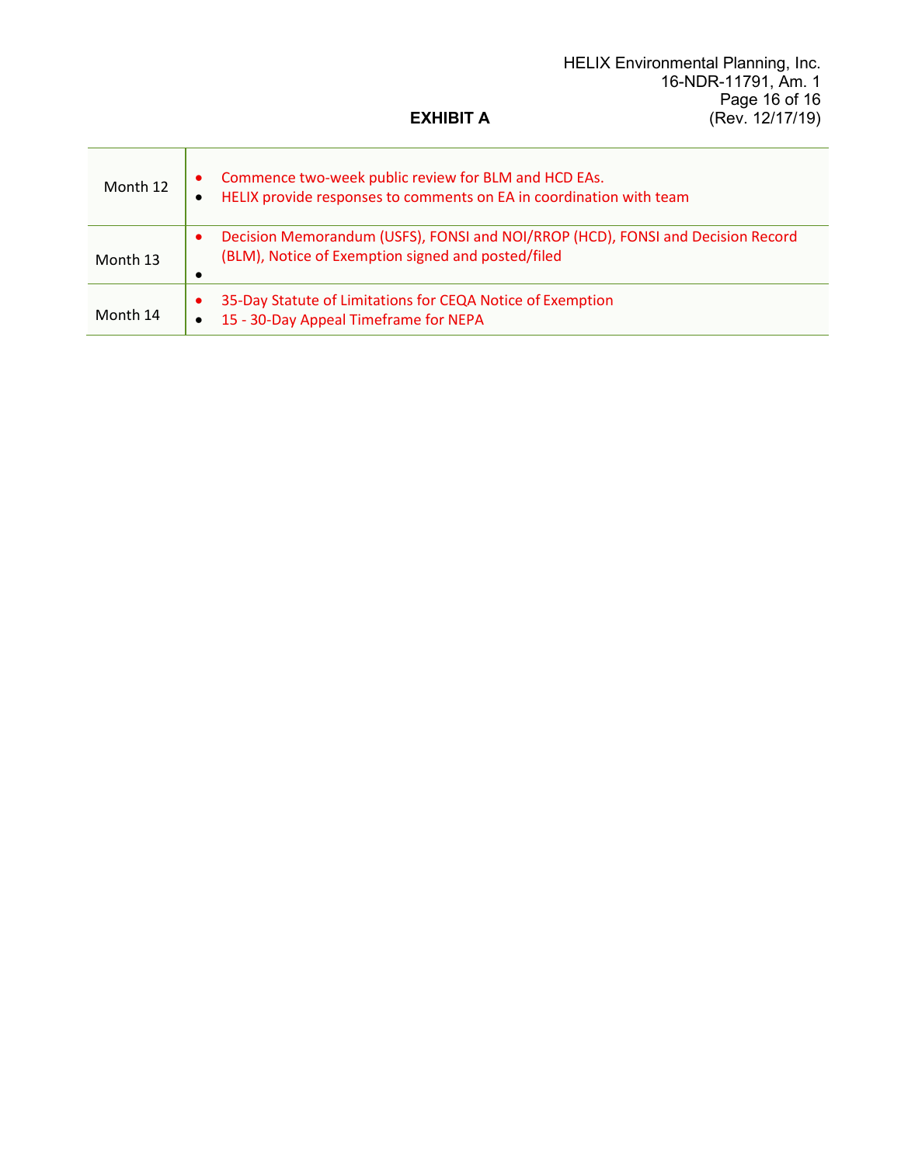#### HELIX Environmental Planning, Inc. 16-NDR-11791, Am. 1 Page 16 of 16 (Rev. 12/17/19)

# **EXHIBIT A**

 $\mathbf{r}$ 

| Month 12 | Commence two-week public review for BLM and HCD EAs.<br>HELIX provide responses to comments on EA in coordination with team<br>$\bullet$ |
|----------|------------------------------------------------------------------------------------------------------------------------------------------|
| Month 13 | Decision Memorandum (USFS), FONSI and NOI/RROP (HCD), FONSI and Decision Record<br>(BLM), Notice of Exemption signed and posted/filed    |
| Month 14 | 35-Day Statute of Limitations for CEQA Notice of Exemption<br>15 - 30-Day Appeal Timeframe for NEPA<br>$\bullet$                         |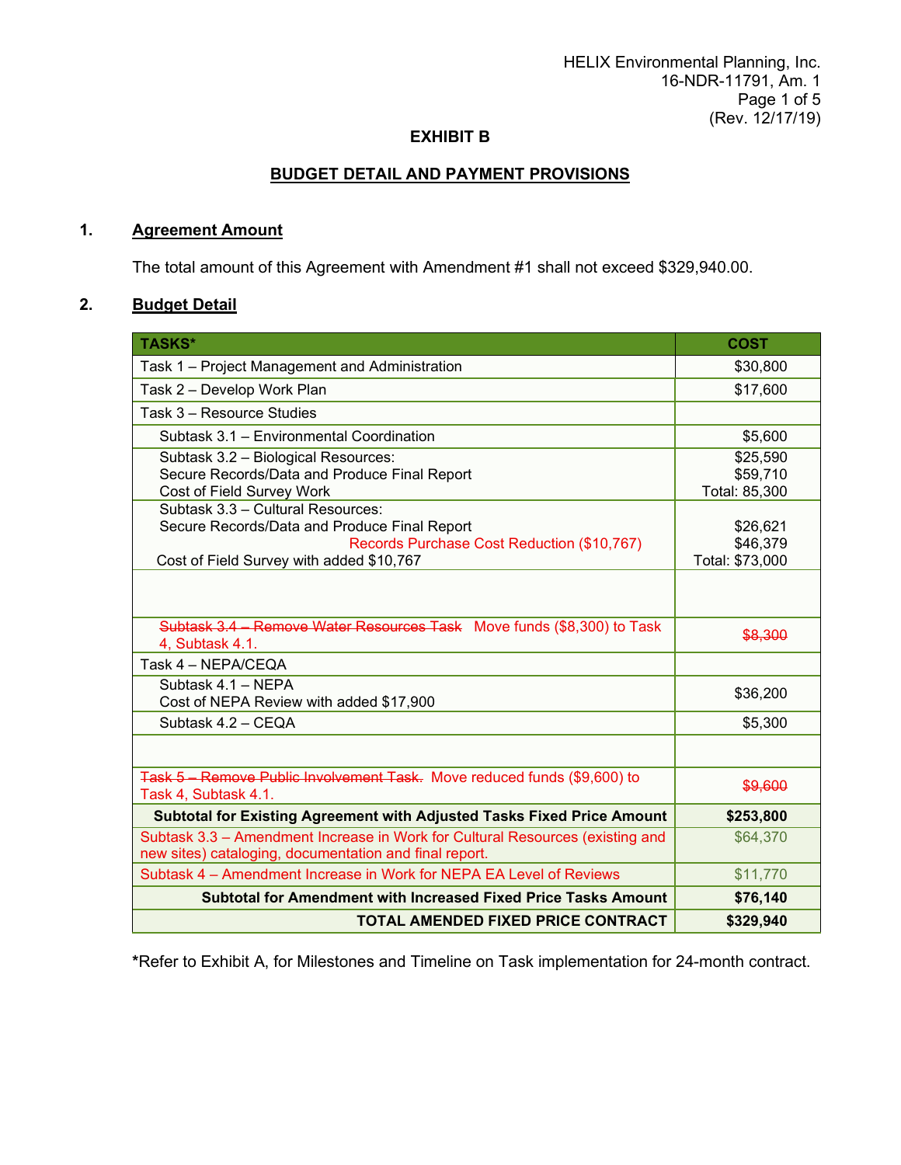# **BUDGET DETAIL AND PAYMENT PROVISIONS**

#### **1. Agreement Amount**

The total amount of this Agreement with Amendment #1 shall not exceed \$329,940.00.

# **2. Budget Detail**

| <b>TASKS*</b>                                                                                                                           | <b>COST</b>     |
|-----------------------------------------------------------------------------------------------------------------------------------------|-----------------|
| Task 1 – Project Management and Administration                                                                                          | \$30,800        |
| Task 2 - Develop Work Plan                                                                                                              | \$17,600        |
| Task 3 - Resource Studies                                                                                                               |                 |
| Subtask 3.1 - Environmental Coordination                                                                                                | \$5,600         |
| Subtask 3.2 - Biological Resources:                                                                                                     | \$25,590        |
| Secure Records/Data and Produce Final Report                                                                                            | \$59,710        |
| Cost of Field Survey Work<br>Subtask 3.3 - Cultural Resources:                                                                          | Total: 85,300   |
| Secure Records/Data and Produce Final Report                                                                                            | \$26,621        |
| Records Purchase Cost Reduction (\$10,767)                                                                                              | \$46,379        |
| Cost of Field Survey with added \$10,767                                                                                                | Total: \$73,000 |
|                                                                                                                                         |                 |
| Subtask 3.4 - Remove Water Resources Task Move funds (\$8,300) to Task<br>4, Subtask 4.1.                                               | \$8,300         |
| Task 4 - NEPA/CEQA                                                                                                                      |                 |
| Subtask 4.1 - NEPA                                                                                                                      | \$36,200        |
| Cost of NEPA Review with added \$17,900                                                                                                 |                 |
| Subtask 4.2 - CEQA                                                                                                                      | \$5,300         |
|                                                                                                                                         |                 |
| Task 5 - Remove Public Involvement Task. Move reduced funds (\$9,600) to<br>Task 4, Subtask 4.1.                                        | \$9,600         |
| Subtotal for Existing Agreement with Adjusted Tasks Fixed Price Amount                                                                  | \$253,800       |
| Subtask 3.3 - Amendment Increase in Work for Cultural Resources (existing and<br>new sites) cataloging, documentation and final report. | \$64,370        |
| Subtask 4 – Amendment Increase in Work for NEPA EA Level of Reviews                                                                     | \$11,770        |
| Subtotal for Amendment with Increased Fixed Price Tasks Amount                                                                          | \$76,140        |
| <b>TOTAL AMENDED FIXED PRICE CONTRACT</b>                                                                                               | \$329,940       |

 **\***Refer to Exhibit A, for Milestones and Timeline on Task implementation for 24-month contract.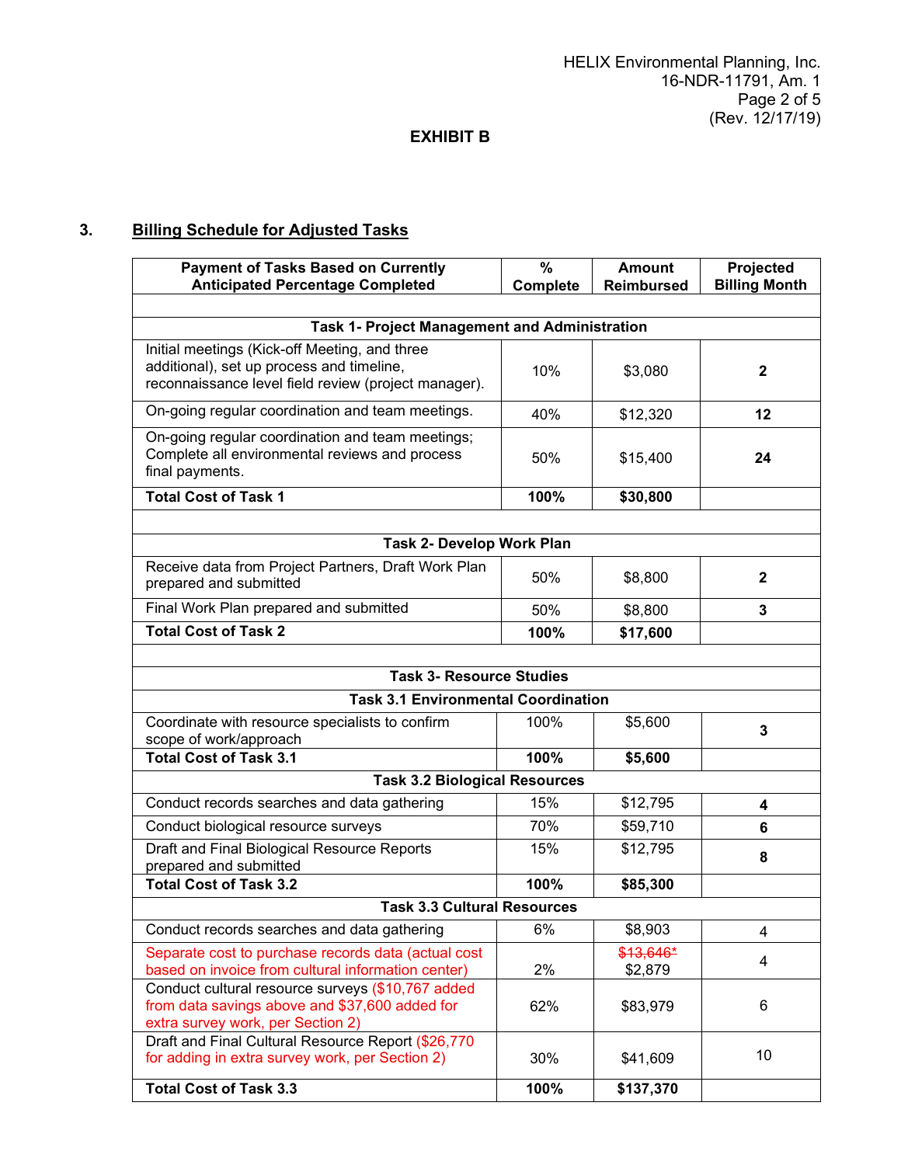# **3. Billing Schedule for Adjusted Tasks**

| <b>Payment of Tasks Based on Currently</b><br><b>Anticipated Percentage Completed</b>                                                              | %<br>Complete | <b>Amount</b><br><b>Reimbursed</b> | Projected<br><b>Billing Month</b> |  |
|----------------------------------------------------------------------------------------------------------------------------------------------------|---------------|------------------------------------|-----------------------------------|--|
|                                                                                                                                                    |               |                                    |                                   |  |
| Task 1- Project Management and Administration                                                                                                      |               |                                    |                                   |  |
| Initial meetings (Kick-off Meeting, and three<br>additional), set up process and timeline,<br>reconnaissance level field review (project manager). | 10%           | \$3,080                            | $\mathbf{2}$                      |  |
| On-going regular coordination and team meetings.                                                                                                   | 40%           | \$12,320                           | 12                                |  |
| On-going regular coordination and team meetings;<br>Complete all environmental reviews and process<br>final payments.                              | 50%           | \$15,400                           | 24                                |  |
| <b>Total Cost of Task 1</b>                                                                                                                        | 100%          | \$30,800                           |                                   |  |
|                                                                                                                                                    |               |                                    |                                   |  |
| Task 2- Develop Work Plan                                                                                                                          |               |                                    |                                   |  |
| Receive data from Project Partners, Draft Work Plan<br>prepared and submitted                                                                      | 50%           | \$8,800                            | $\mathbf 2$                       |  |
| Final Work Plan prepared and submitted                                                                                                             | 50%           | \$8,800                            | 3                                 |  |
| <b>Total Cost of Task 2</b>                                                                                                                        | 100%          | \$17,600                           |                                   |  |
|                                                                                                                                                    |               |                                    |                                   |  |
| <b>Task 3- Resource Studies</b>                                                                                                                    |               |                                    |                                   |  |
| <b>Task 3.1 Environmental Coordination</b>                                                                                                         |               |                                    |                                   |  |
| Coordinate with resource specialists to confirm<br>scope of work/approach                                                                          | 100%          | \$5,600                            | 3                                 |  |
| <b>Total Cost of Task 3.1</b>                                                                                                                      | 100%          | \$5,600                            |                                   |  |
| <b>Task 3.2 Biological Resources</b>                                                                                                               |               |                                    |                                   |  |
| Conduct records searches and data gathering                                                                                                        | 15%           | \$12,795                           | 4                                 |  |
| Conduct biological resource surveys                                                                                                                | 70%           | \$59,710                           | 6                                 |  |
| Draft and Final Biological Resource Reports<br>prepared and submitted                                                                              | 15%           | \$12,795                           | 8                                 |  |
| <b>Total Cost of Task 3.2</b>                                                                                                                      | 100%          | \$85,300                           |                                   |  |
| <b>Task 3.3 Cultural Resources</b>                                                                                                                 |               |                                    |                                   |  |
| Conduct records searches and data gathering                                                                                                        | 6%            | \$8,903                            | 4                                 |  |
| Separate cost to purchase records data (actual cost                                                                                                |               | $$13,646*$                         | 4                                 |  |
| based on invoice from cultural information center)                                                                                                 | 2%            | \$2,879                            |                                   |  |
| Conduct cultural resource surveys (\$10,767 added<br>from data savings above and \$37,600 added for<br>extra survey work, per Section 2)           | 62%           | \$83,979                           | 6                                 |  |
| Draft and Final Cultural Resource Report (\$26,770<br>for adding in extra survey work, per Section 2)                                              | 30%           | \$41,609                           | 10                                |  |
| <b>Total Cost of Task 3.3</b>                                                                                                                      | 100%          | \$137,370                          |                                   |  |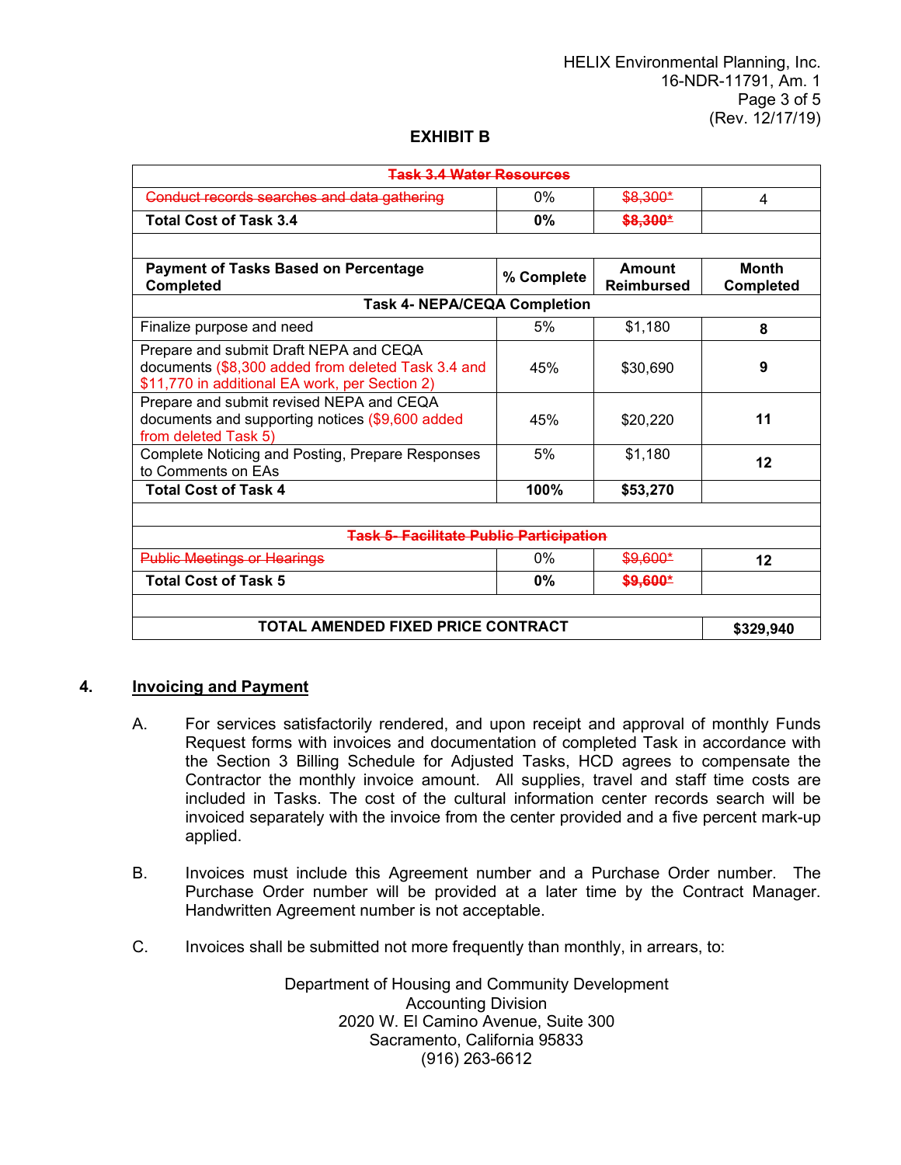| <b>Task 3.4 Water Resources</b>                                                                                                                |            |                             |                                  |  |
|------------------------------------------------------------------------------------------------------------------------------------------------|------------|-----------------------------|----------------------------------|--|
| Conduct records searches and data gathering                                                                                                    | 0%         | \$8,300*                    | 4                                |  |
| <b>Total Cost of Task 3.4</b>                                                                                                                  | $0\%$      | \$8,300*                    |                                  |  |
|                                                                                                                                                |            |                             |                                  |  |
| <b>Payment of Tasks Based on Percentage</b><br><b>Completed</b>                                                                                | % Complete | Amount<br><b>Reimbursed</b> | <b>Month</b><br><b>Completed</b> |  |
| <b>Task 4- NEPA/CEQA Completion</b>                                                                                                            |            |                             |                                  |  |
| Finalize purpose and need                                                                                                                      | 5%         | \$1,180                     | 8                                |  |
| Prepare and submit Draft NEPA and CEQA<br>documents (\$8,300 added from deleted Task 3.4 and<br>\$11,770 in additional EA work, per Section 2) | 45%        | \$30,690                    | 9                                |  |
| Prepare and submit revised NEPA and CEQA<br>documents and supporting notices (\$9,600 added<br>from deleted Task 5)                            | 45%        | \$20,220                    | 11                               |  |
| Complete Noticing and Posting, Prepare Responses<br>to Comments on EAs                                                                         | 5%         | \$1,180                     | 12                               |  |
| <b>Total Cost of Task 4</b>                                                                                                                    | 100%       | \$53,270                    |                                  |  |
|                                                                                                                                                |            |                             |                                  |  |
| <b>Task 5- Facilitate Public Participation</b>                                                                                                 |            |                             |                                  |  |
| <b>Public Meetings or Hearings</b>                                                                                                             | $0\%$      | <del>\$9,600*</del>         | 12                               |  |
| <b>Total Cost of Task 5</b>                                                                                                                    | 0%         | \$9,600*                    |                                  |  |
|                                                                                                                                                |            |                             |                                  |  |
| <b>TOTAL AMENDED FIXED PRICE CONTRACT</b>                                                                                                      |            |                             | \$329,940                        |  |

## **4. Invoicing and Payment**

- A. For services satisfactorily rendered, and upon receipt and approval of monthly Funds Request forms with invoices and documentation of completed Task in accordance with the Section 3 Billing Schedule for Adjusted Tasks, HCD agrees to compensate the Contractor the monthly invoice amount. All supplies, travel and staff time costs are included in Tasks. The cost of the cultural information center records search will be invoiced separately with the invoice from the center provided and a five percent mark-up applied.
- B. Invoices must include this Agreement number and a Purchase Order number. The Purchase Order number will be provided at a later time by the Contract Manager. Handwritten Agreement number is not acceptable.
- C. Invoices shall be submitted not more frequently than monthly, in arrears, to:

Department of Housing and Community Development Accounting Division 2020 W. El Camino Avenue, Suite 300 Sacramento, California 95833 (916) 263-6612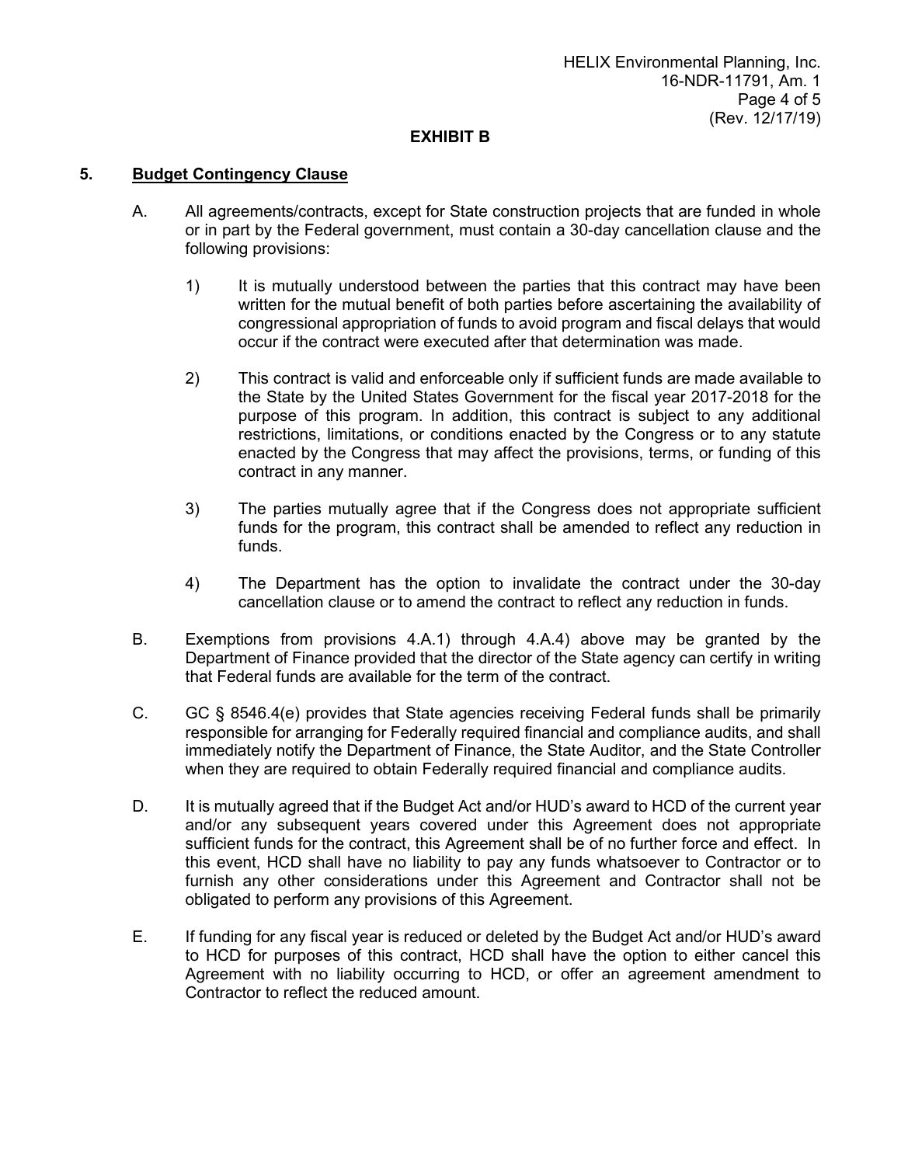#### **5. Budget Contingency Clause**

- A. All agreements/contracts, except for State construction projects that are funded in whole or in part by the Federal government, must contain a 30-day cancellation clause and the following provisions:
	- 1) It is mutually understood between the parties that this contract may have been written for the mutual benefit of both parties before ascertaining the availability of congressional appropriation of funds to avoid program and fiscal delays that would occur if the contract were executed after that determination was made.
	- 2) This contract is valid and enforceable only if sufficient funds are made available to the State by the United States Government for the fiscal year 2017-2018 for the purpose of this program. In addition, this contract is subject to any additional restrictions, limitations, or conditions enacted by the Congress or to any statute enacted by the Congress that may affect the provisions, terms, or funding of this contract in any manner.
	- 3) The parties mutually agree that if the Congress does not appropriate sufficient funds for the program, this contract shall be amended to reflect any reduction in funds.
	- 4) The Department has the option to invalidate the contract under the 30-day cancellation clause or to amend the contract to reflect any reduction in funds.
- B. Exemptions from provisions 4.A.1) through 4.A.4) above may be granted by the Department of Finance provided that the director of the State agency can certify in writing that Federal funds are available for the term of the contract.
- C. GC § 8546.4(e) provides that State agencies receiving Federal funds shall be primarily responsible for arranging for Federally required financial and compliance audits, and shall immediately notify the Department of Finance, the State Auditor, and the State Controller when they are required to obtain Federally required financial and compliance audits.
- D. It is mutually agreed that if the Budget Act and/or HUD's award to HCD of the current year and/or any subsequent years covered under this Agreement does not appropriate sufficient funds for the contract, this Agreement shall be of no further force and effect. In this event, HCD shall have no liability to pay any funds whatsoever to Contractor or to furnish any other considerations under this Agreement and Contractor shall not be obligated to perform any provisions of this Agreement.
- E. If funding for any fiscal year is reduced or deleted by the Budget Act and/or HUD's award to HCD for purposes of this contract, HCD shall have the option to either cancel this Agreement with no liability occurring to HCD, or offer an agreement amendment to Contractor to reflect the reduced amount.